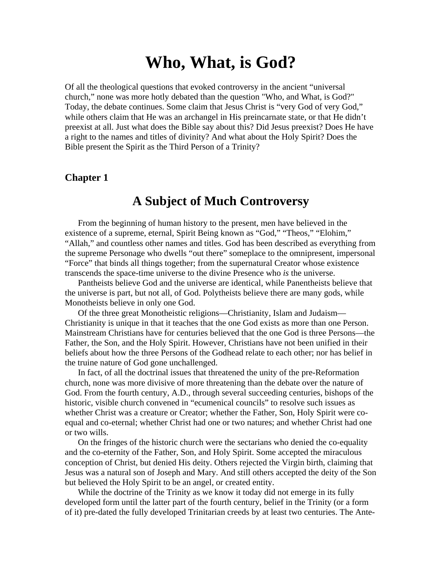# **Who, What, is God?**

Of all the theological questions that evoked controversy in the ancient "universal church," none was more hotly debated than the question "Who, and What, is God?" Today, the debate continues. Some claim that Jesus Christ is "very God of very God," while others claim that He was an archangel in His preincarnate state, or that He didn't preexist at all. Just what does the Bible say about this? Did Jesus preexist? Does He have a right to the names and titles of divinity? And what about the Holy Spirit? Does the Bible present the Spirit as the Third Person of a Trinity?

# **Chapter 1**

# **A Subject of Much Controversy**

From the beginning of human history to the present, men have believed in the existence of a supreme, eternal, Spirit Being known as "God," "Theos," "Elohim," "Allah," and countless other names and titles. God has been described as everything from the supreme Personage who dwells "out there" someplace to the omnipresent, impersonal "Force" that binds all things together; from the supernatural Creator whose existence transcends the space-time universe to the divine Presence who *is* the universe.

Pantheists believe God and the universe are identical, while Panentheists believe that the universe is part, but not all, of God. Polytheists believe there are many gods, while Monotheists believe in only one God.

Of the three great Monotheistic religions—Christianity, Islam and Judaism— Christianity is unique in that it teaches that the one God exists as more than one Person. Mainstream Christians have for centuries believed that the one God is three Persons—the Father, the Son, and the Holy Spirit. However, Christians have not been unified in their beliefs about how the three Persons of the Godhead relate to each other; nor has belief in the truine nature of God gone unchallenged.

In fact, of all the doctrinal issues that threatened the unity of the pre-Reformation church, none was more divisive of more threatening than the debate over the nature of God. From the fourth century, A.D., through several succeeding centuries, bishops of the historic, visible church convened in "ecumenical councils" to resolve such issues as whether Christ was a creature or Creator; whether the Father, Son, Holy Spirit were coequal and co-eternal; whether Christ had one or two natures; and whether Christ had one or two wills.

On the fringes of the historic church were the sectarians who denied the co-equality and the co-eternity of the Father, Son, and Holy Spirit. Some accepted the miraculous conception of Christ, but denied His deity. Others rejected the Virgin birth, claiming that Jesus was a natural son of Joseph and Mary. And still others accepted the deity of the Son but believed the Holy Spirit to be an angel, or created entity.

While the doctrine of the Trinity as we know it today did not emerge in its fully developed form until the latter part of the fourth century, belief in the Trinity (or a form of it) pre-dated the fully developed Trinitarian creeds by at least two centuries. The Ante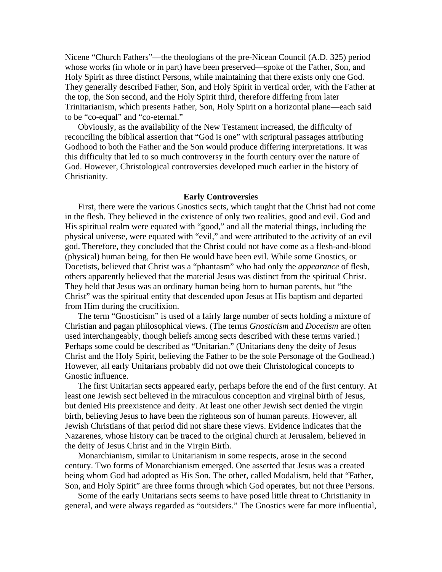Nicene "Church Fathers"—the theologians of the pre-Nicean Council (A.D. 325) period whose works (in whole or in part) have been preserved—spoke of the Father, Son, and Holy Spirit as three distinct Persons, while maintaining that there exists only one God. They generally described Father, Son, and Holy Spirit in vertical order, with the Father at the top, the Son second, and the Holy Spirit third, therefore differing from later Trinitarianism, which presents Father, Son, Holy Spirit on a horizontal plane—each said to be "co-equal" and "co-eternal."

Obviously, as the availability of the New Testament increased, the difficulty of reconciling the biblical assertion that "God is one" with scriptural passages attributing Godhood to both the Father and the Son would produce differing interpretations. It was this difficulty that led to so much controversy in the fourth century over the nature of God. However, Christological controversies developed much earlier in the history of Christianity.

#### **Early Controversies**

First, there were the various Gnostics sects, which taught that the Christ had not come in the flesh. They believed in the existence of only two realities, good and evil. God and His spiritual realm were equated with "good," and all the material things, including the physical universe, were equated with "evil," and were attributed to the activity of an evil god. Therefore, they concluded that the Christ could not have come as a flesh-and-blood (physical) human being, for then He would have been evil. While some Gnostics, or Docetists, believed that Christ was a "phantasm" who had only the *appearance* of flesh, others apparently believed that the material Jesus was distinct from the spiritual Christ. They held that Jesus was an ordinary human being born to human parents, but "the Christ" was the spiritual entity that descended upon Jesus at His baptism and departed from Him during the crucifixion.

The term "Gnosticism" is used of a fairly large number of sects holding a mixture of Christian and pagan philosophical views. (The terms *Gnosticism* and *Docetism* are often used interchangeably, though beliefs among sects described with these terms varied.) Perhaps some could be described as "Unitarian." (Unitarians deny the deity of Jesus Christ and the Holy Spirit, believing the Father to be the sole Personage of the Godhead.) However, all early Unitarians probably did not owe their Christological concepts to Gnostic influence.

The first Unitarian sects appeared early, perhaps before the end of the first century. At least one Jewish sect believed in the miraculous conception and virginal birth of Jesus, but denied His preexistence and deity. At least one other Jewish sect denied the virgin birth, believing Jesus to have been the righteous son of human parents. However, all Jewish Christians of that period did not share these views. Evidence indicates that the Nazarenes, whose history can be traced to the original church at Jerusalem, believed in the deity of Jesus Christ and in the Virgin Birth.

Monarchianism, similar to Unitarianism in some respects, arose in the second century. Two forms of Monarchianism emerged. One asserted that Jesus was a created being whom God had adopted as His Son. The other, called Modalism, held that "Father, Son, and Holy Spirit" are three forms through which God operates, but not three Persons.

Some of the early Unitarians sects seems to have posed little threat to Christianity in general, and were always regarded as "outsiders." The Gnostics were far more influential,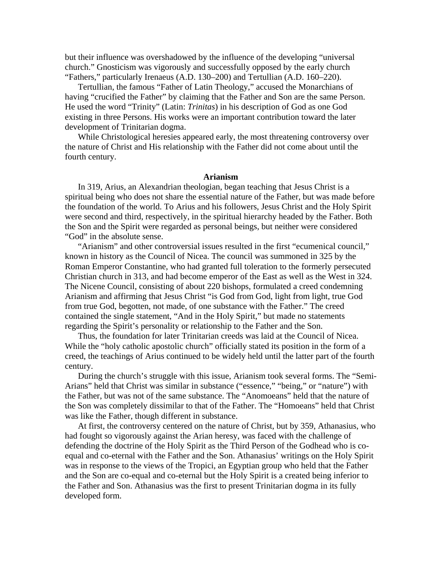but their influence was overshadowed by the influence of the developing "universal church." Gnosticism was vigorously and successfully opposed by the early church "Fathers," particularly Irenaeus (A.D. 130–200) and Tertullian (A.D. 160–220).

Tertullian, the famous "Father of Latin Theology," accused the Monarchians of having "crucified the Father" by claiming that the Father and Son are the same Person. He used the word "Trinity" (Latin: *Trinitas*) in his description of God as one God existing in three Persons. His works were an important contribution toward the later development of Trinitarian dogma.

While Christological heresies appeared early, the most threatening controversy over the nature of Christ and His relationship with the Father did not come about until the fourth century.

#### **Arianism**

In 319, Arius, an Alexandrian theologian, began teaching that Jesus Christ is a spiritual being who does not share the essential nature of the Father, but was made before the foundation of the world. To Arius and his followers, Jesus Christ and the Holy Spirit were second and third, respectively, in the spiritual hierarchy headed by the Father. Both the Son and the Spirit were regarded as personal beings, but neither were considered "God" in the absolute sense.

"Arianism" and other controversial issues resulted in the first "ecumenical council," known in history as the Council of Nicea. The council was summoned in 325 by the Roman Emperor Constantine, who had granted full toleration to the formerly persecuted Christian church in 313, and had become emperor of the East as well as the West in 324. The Nicene Council, consisting of about 220 bishops, formulated a creed condemning Arianism and affirming that Jesus Christ "is God from God, light from light, true God from true God, begotten, not made, of one substance with the Father." The creed contained the single statement, "And in the Holy Spirit," but made no statements regarding the Spirit's personality or relationship to the Father and the Son.

Thus, the foundation for later Trinitarian creeds was laid at the Council of Nicea. While the "holy catholic apostolic church" officially stated its position in the form of a creed, the teachings of Arius continued to be widely held until the latter part of the fourth century.

During the church's struggle with this issue, Arianism took several forms. The "Semi-Arians" held that Christ was similar in substance ("essence," "being," or "nature") with the Father, but was not of the same substance. The "Anomoeans" held that the nature of the Son was completely dissimilar to that of the Father. The "Homoeans" held that Christ was like the Father, though different in substance.

At first, the controversy centered on the nature of Christ, but by 359, Athanasius, who had fought so vigorously against the Arian heresy, was faced with the challenge of defending the doctrine of the Holy Spirit as the Third Person of the Godhead who is coequal and co-eternal with the Father and the Son. Athanasius' writings on the Holy Spirit was in response to the views of the Tropici, an Egyptian group who held that the Father and the Son are co-equal and co-eternal but the Holy Spirit is a created being inferior to the Father and Son. Athanasius was the first to present Trinitarian dogma in its fully developed form.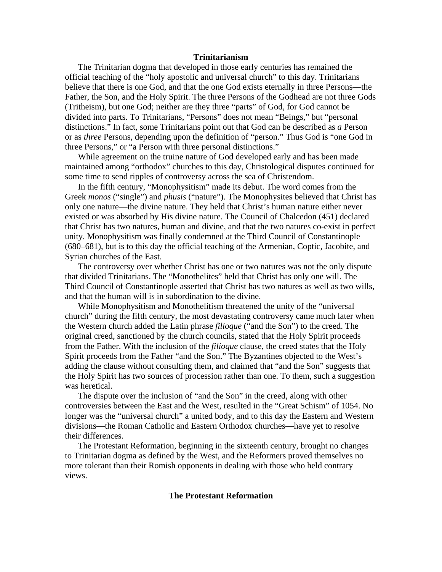#### **Trinitarianism**

The Trinitarian dogma that developed in those early centuries has remained the official teaching of the "holy apostolic and universal church" to this day. Trinitarians believe that there is one God, and that the one God exists eternally in three Persons—the Father, the Son, and the Holy Spirit. The three Persons of the Godhead are not three Gods (Tritheism), but one God; neither are they three "parts" of God, for God cannot be divided into parts. To Trinitarians, "Persons" does not mean "Beings," but "personal distinctions." In fact, some Trinitarians point out that God can be described as *a* Person or as *three* Persons, depending upon the definition of "person." Thus God is "one God in three Persons," or "a Person with three personal distinctions."

While agreement on the truine nature of God developed early and has been made maintained among "orthodox" churches to this day, Christological disputes continued for some time to send ripples of controversy across the sea of Christendom.

In the fifth century, "Monophysitism" made its debut. The word comes from the Greek *monos* ("single") and *phusis* ("nature"). The Monophysites believed that Christ has only one nature—the divine nature. They held that Christ's human nature either never existed or was absorbed by His divine nature. The Council of Chalcedon (451) declared that Christ has two natures, human and divine, and that the two natures co-exist in perfect unity. Monophysitism was finally condemned at the Third Council of Constantinople (680–681), but is to this day the official teaching of the Armenian, Coptic, Jacobite, and Syrian churches of the East.

The controversy over whether Christ has one or two natures was not the only dispute that divided Trinitarians. The "Monothelites" held that Christ has only one will. The Third Council of Constantinople asserted that Christ has two natures as well as two wills, and that the human will is in subordination to the divine.

While Monophysitism and Monothelitism threatened the unity of the "universal church" during the fifth century, the most devastating controversy came much later when the Western church added the Latin phrase *filioque* ("and the Son") to the creed. The original creed, sanctioned by the church councils, stated that the Holy Spirit proceeds from the Father. With the inclusion of the *filioque* clause, the creed states that the Holy Spirit proceeds from the Father "and the Son." The Byzantines objected to the West's adding the clause without consulting them, and claimed that "and the Son" suggests that the Holy Spirit has two sources of procession rather than one. To them, such a suggestion was heretical.

The dispute over the inclusion of "and the Son" in the creed, along with other controversies between the East and the West, resulted in the "Great Schism" of 1054. No longer was the "universal church" a united body, and to this day the Eastern and Western divisions—the Roman Catholic and Eastern Orthodox churches—have yet to resolve their differences.

The Protestant Reformation, beginning in the sixteenth century, brought no changes to Trinitarian dogma as defined by the West, and the Reformers proved themselves no more tolerant than their Romish opponents in dealing with those who held contrary views.

### **The Protestant Reformation**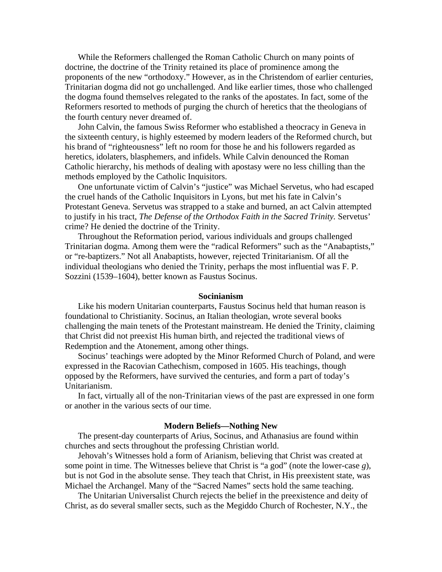While the Reformers challenged the Roman Catholic Church on many points of doctrine, the doctrine of the Trinity retained its place of prominence among the proponents of the new "orthodoxy." However, as in the Christendom of earlier centuries, Trinitarian dogma did not go unchallenged. And like earlier times, those who challenged the dogma found themselves relegated to the ranks of the apostates. In fact, some of the Reformers resorted to methods of purging the church of heretics that the theologians of the fourth century never dreamed of.

John Calvin, the famous Swiss Reformer who established a theocracy in Geneva in the sixteenth century, is highly esteemed by modern leaders of the Reformed church, but his brand of "righteousness" left no room for those he and his followers regarded as heretics, idolaters, blasphemers, and infidels. While Calvin denounced the Roman Catholic hierarchy, his methods of dealing with apostasy were no less chilling than the methods employed by the Catholic Inquisitors.

One unfortunate victim of Calvin's "justice" was Michael Servetus, who had escaped the cruel hands of the Catholic Inquisitors in Lyons, but met his fate in Calvin's Protestant Geneva. Servetus was strapped to a stake and burned, an act Calvin attempted to justify in his tract, *The Defense of the Orthodox Faith in the Sacred Trinity.* Servetus' crime? He denied the doctrine of the Trinity.

Throughout the Reformation period, various individuals and groups challenged Trinitarian dogma. Among them were the "radical Reformers" such as the "Anabaptists," or "re-baptizers." Not all Anabaptists, however, rejected Trinitarianism. Of all the individual theologians who denied the Trinity, perhaps the most influential was F. P. Sozzini (1539–1604), better known as Faustus Socinus.

#### **Socinianism**

Like his modern Unitarian counterparts, Faustus Socinus held that human reason is foundational to Christianity. Socinus, an Italian theologian, wrote several books challenging the main tenets of the Protestant mainstream. He denied the Trinity, claiming that Christ did not preexist His human birth, and rejected the traditional views of Redemption and the Atonement, among other things.

Socinus' teachings were adopted by the Minor Reformed Church of Poland, and were expressed in the Racovian Cathechism, composed in 1605. His teachings, though opposed by the Reformers, have survived the centuries, and form a part of today's Unitarianism.

In fact, virtually all of the non-Trinitarian views of the past are expressed in one form or another in the various sects of our time.

#### **Modern Beliefs—Nothing New**

The present-day counterparts of Arius, Socinus, and Athanasius are found within churches and sects throughout the professing Christian world.

Jehovah's Witnesses hold a form of Arianism, believing that Christ was created at some point in time. The Witnesses believe that Christ is "a god" (note the lower-case *g*), but is not God in the absolute sense. They teach that Christ, in His preexistent state, was Michael the Archangel. Many of the "Sacred Names" sects hold the same teaching.

The Unitarian Universalist Church rejects the belief in the preexistence and deity of Christ, as do several smaller sects, such as the Megiddo Church of Rochester, N.Y., the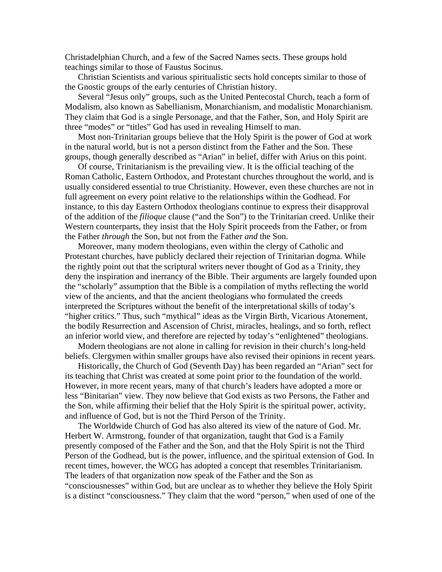Christadelphian Church, and a few of the Sacred Names sects. These groups hold teachings similar to those of Faustus Socinus.

Christian Scientists and various spiritualistic sects hold concepts similar to those of the Gnostic groups of the early centuries of Christian history.

Several "Jesus only" groups, such as the United Pentecostal Church, teach a form of Modalism, also known as Sabellianism, Monarchianism, and modalistic Monarchianism. They claim that God is a single Personage, and that the Father, Son, and Holy Spirit are three "modes" or "titles" God has used in revealing Himself to man.

Most non-Trinitarian groups believe that the Holy Spirit is the power of God at work in the natural world, but is not a person distinct from the Father and the Son. These groups, though generally described as "Arian" in belief, differ with Arius on this point.

Of course, Trinitarianism is the prevailing view. It is the official teaching of the Roman Catholic, Eastern Orthodox, and Protestant churches throughout the world, and is usually considered essential to true Christianity. However, even these churches are not in full agreement on every point relative to the relationships within the Godhead. For instance, to this day Eastern Orthodox theologians continue to express their disapproval of the addition of the *filioque* clause ("and the Son") to the Trinitarian creed. Unlike their Western counterparts, they insist that the Holy Spirit proceeds from the Father, or from the Father *through* the Son, but not from the Father *and* the Son.

Moreover, many modern theologians, even within the clergy of Catholic and Protestant churches, have publicly declared their rejection of Trinitarian dogma. While the rightly point out that the scriptural writers never thought of God as a Trinity, they deny the inspiration and inerrancy of the Bible. Their arguments are largely founded upon the "scholarly" assumption that the Bible is a compilation of myths reflecting the world view of the ancients, and that the ancient theologians who formulated the creeds interpreted the Scriptures without the benefit of the interpretational skills of today's "higher critics." Thus, such "mythical" ideas as the Virgin Birth, Vicarious Atonement, the bodily Resurrection and Ascension of Christ, miracles, healings, and so forth, reflect an inferior world view, and therefore are rejected by today's "enlightened" theologians.

Modern theologians are not alone in calling for revision in their church's long-held beliefs. Clergymen within smaller groups have also revised their opinions in recent years.

Historically, the Church of God (Seventh Day) has been regarded an "Arian" sect for its teaching that Christ was created at some point prior to the foundation of the world. However, in more recent years, many of that church's leaders have adopted a more or less "Binitarian" view. They now believe that God exists as two Persons, the Father and the Son, while affirming their belief that the Holy Spirit is the spiritual power, activity, and influence of God, but is not the Third Person of the Trinity.

The Worldwide Church of God has also altered its view of the nature of God. Mr. Herbert W. Armstrong, founder of that organization, taught that God is a Family presently composed of the Father and the Son, and that the Holy Spirit is not the Third Person of the Godhead, but is the power, influence, and the spiritual extension of God. In recent times, however, the WCG has adopted a concept that resembles Trinitarianism. The leaders of that organization now speak of the Father and the Son as "consciousnesses" within God, but are unclear as to whether they believe the Holy Spirit is a distinct "consciousness." They claim that the word "person," when used of one of the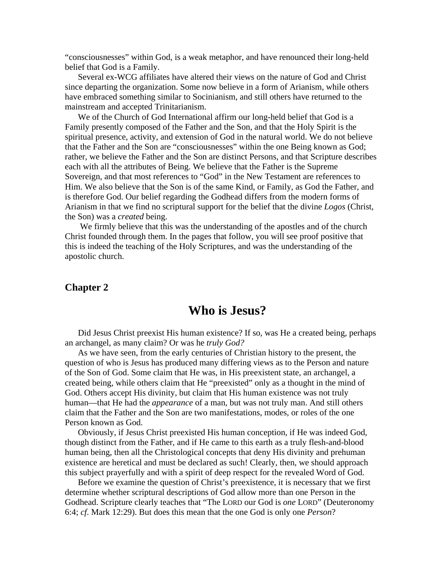"consciousnesses" within God, is a weak metaphor, and have renounced their long-held belief that God is a Family.

Several ex-WCG affiliates have altered their views on the nature of God and Christ since departing the organization. Some now believe in a form of Arianism, while others have embraced something similar to Socinianism, and still others have returned to the mainstream and accepted Trinitarianism.

We of the Church of God International affirm our long-held belief that God is a Family presently composed of the Father and the Son, and that the Holy Spirit is the spiritual presence, activity, and extension of God in the natural world. We do not believe that the Father and the Son are "consciousnesses" within the one Being known as God; rather, we believe the Father and the Son are distinct Persons, and that Scripture describes each with all the attributes of Being. We believe that the Father is the Supreme Sovereign, and that most references to "God" in the New Testament are references to Him. We also believe that the Son is of the same Kind, or Family, as God the Father, and is therefore God. Our belief regarding the Godhead differs from the modern forms of Arianism in that we find no scriptural support for the belief that the divine *Logos* (Christ, the Son) was a *created* being.

 We firmly believe that this was the understanding of the apostles and of the church Christ founded through them. In the pages that follow, you will see proof positive that this is indeed the teaching of the Holy Scriptures, and was the understanding of the apostolic church.

# **Chapter 2**

# **Who is Jesus?**

Did Jesus Christ preexist His human existence? If so, was He a created being, perhaps an archangel, as many claim? Or was he *truly God?*

As we have seen, from the early centuries of Christian history to the present, the question of who is Jesus has produced many differing views as to the Person and nature of the Son of God. Some claim that He was, in His preexistent state, an archangel, a created being, while others claim that He "preexisted" only as a thought in the mind of God. Others accept His divinity, but claim that His human existence was not truly human—that He had the *appearance* of a man, but was not truly man. And still others claim that the Father and the Son are two manifestations, modes, or roles of the one Person known as God.

Obviously, if Jesus Christ preexisted His human conception, if He was indeed God, though distinct from the Father, and if He came to this earth as a truly flesh-and-blood human being, then all the Christological concepts that deny His divinity and prehuman existence are heretical and must be declared as such! Clearly, then, we should approach this subject prayerfully and with a spirit of deep respect for the revealed Word of God.

Before we examine the question of Christ's preexistence, it is necessary that we first determine whether scriptural descriptions of God allow more than one Person in the Godhead. Scripture clearly teaches that "The LORD our God is *one* LORD" (Deuteronomy 6:4; *cf*. Mark 12:29). But does this mean that the one God is only one *Person*?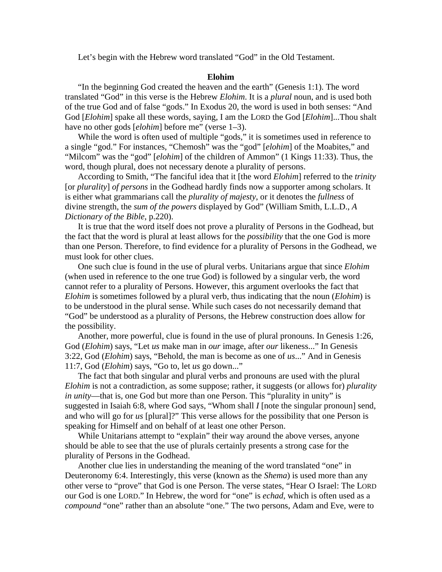Let's begin with the Hebrew word translated "God" in the Old Testament.

#### **Elohim**

"In the beginning God created the heaven and the earth" (Genesis 1:1). The word translated "God" in this verse is the Hebrew *Elohim*. It is a *plural* noun, and is used both of the true God and of false "gods." In Exodus 20, the word is used in both senses: "And God [*Elohim*] spake all these words, saying, I am the LORD the God [*Elohim*]...Thou shalt have no other gods [*elohim*] before me" (verse 1–3).

While the word is often used of multiple "gods," it is sometimes used in reference to a single "god." For instances, "Chemosh" was the "god" [*elohim*] of the Moabites," and "Milcom" was the "god" [*elohim*] of the children of Ammon" (1 Kings 11:33). Thus, the word, though plural, does not necessary denote a plurality of persons.

According to Smith, "The fanciful idea that it [the word *Elohim*] referred to the *trinity* [or *plurality*] *of persons* in the Godhead hardly finds now a supporter among scholars. It is either what grammarians call the *plurality of majesty*, or it denotes the *fullness* of divine strength, the *sum of the powers* displayed by God" (William Smith, L.L.D., *A Dictionary of the Bible*, p.220).

It is true that the word itself does not prove a plurality of Persons in the Godhead, but the fact that the word is plural at least allows for the *possibility* that the one God is more than one Person. Therefore, to find evidence for a plurality of Persons in the Godhead, we must look for other clues.

One such clue is found in the use of plural verbs. Unitarians argue that since *Elohim* (when used in reference to the one true God) is followed by a singular verb, the word cannot refer to a plurality of Persons. However, this argument overlooks the fact that *Elohim* is sometimes followed by a plural verb, thus indicating that the noun (*Elohim*) is to be understood in the plural sense. While such cases do not necessarily demand that "God" be understood as a plurality of Persons, the Hebrew construction does allow for the possibility.

Another, more powerful, clue is found in the use of plural pronouns. In Genesis 1:26, God (*Elohim*) says, "Let *us* make man in *our* image, after *our* likeness..." In Genesis 3:22, God (*Elohim*) says, "Behold, the man is become as one of *us*..." And in Genesis 11:7, God (*Elohim*) says, "Go to, let *us* go down..."

The fact that both singular and plural verbs and pronouns are used with the plural *Elohim* is not a contradiction, as some suppose; rather, it suggests (or allows for) *plurality in unity*—that is, one God but more than one Person. This "plurality in unity" is suggested in Isaiah 6:8, where God says, "Whom shall *I* [note the singular pronoun] send, and who will go for *us* [plural]?" This verse allows for the possibility that one Person is speaking for Himself and on behalf of at least one other Person.

While Unitarians attempt to "explain" their way around the above verses, anyone should be able to see that the use of plurals certainly presents a strong case for the plurality of Persons in the Godhead.

Another clue lies in understanding the meaning of the word translated "one" in Deuteronomy 6:4. Interestingly, this verse (known as the *Shema*) is used more than any other verse to "prove" that God is one Person. The verse states, "Hear O Israel: The LORD our God is one LORD." In Hebrew, the word for "one" is *echad*, which is often used as a *compound* "one" rather than an absolute "one." The two persons, Adam and Eve, were to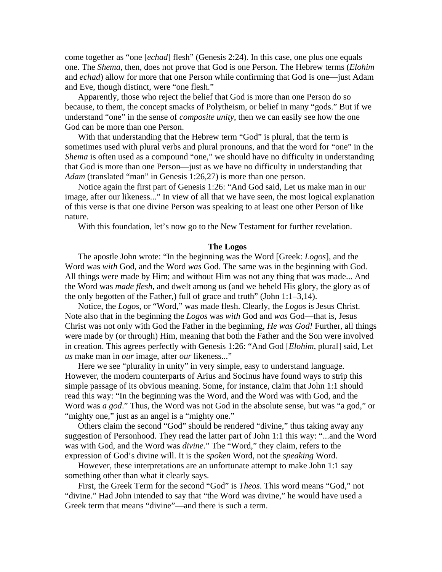come together as "one [*echad*] flesh" (Genesis 2:24). In this case, one plus one equals one. The *Shema*, then, does not prove that God is one Person. The Hebrew terms (*Elohim* and *echad*) allow for more that one Person while confirming that God is one—just Adam and Eve, though distinct, were "one flesh."

Apparently, those who reject the belief that God is more than one Person do so because, to them, the concept smacks of Polytheism, or belief in many "gods." But if we understand "one" in the sense of *composite unity*, then we can easily see how the one God can be more than one Person.

With that understanding that the Hebrew term "God" is plural, that the term is sometimes used with plural verbs and plural pronouns, and that the word for "one" in the *Shema* is often used as a compound "one," we should have no difficulty in understanding that God is more than one Person—just as we have no difficulty in understanding that *Adam* (translated "man" in Genesis 1:26,27) is more than one person.

Notice again the first part of Genesis 1:26: "And God said, Let us make man in our image, after our likeness..." In view of all that we have seen, the most logical explanation of this verse is that one divine Person was speaking to at least one other Person of like nature.

With this foundation, let's now go to the New Testament for further revelation.

#### **The Logos**

The apostle John wrote: "In the beginning was the Word [Greek: *Logos*], and the Word was *with* God, and the Word *was* God. The same was in the beginning with God. All things were made by Him; and without Him was not any thing that was made... And the Word was *made flesh*, and dwelt among us (and we beheld His glory, the glory as of the only begotten of the Father,) full of grace and truth" (John  $1:1-3,14$ ).

Notice, the *Logos*, or "Word," was made flesh. Clearly, the *Logos* is Jesus Christ. Note also that in the beginning the *Logos* was *with* God and *was* God—that is, Jesus Christ was not only with God the Father in the beginning, *He was God!* Further, all things were made by (or through) Him, meaning that both the Father and the Son were involved in creation. This agrees perfectly with Genesis 1:26: "And God [*Elohim*, plural] said, Let *us* make man in *our* image, after *our* likeness..."

Here we see "plurality in unity" in very simple, easy to understand language. However, the modern counterparts of Arius and Socinus have found ways to strip this simple passage of its obvious meaning. Some, for instance, claim that John 1:1 should read this way: "In the beginning was the Word, and the Word was with God, and the Word was *a god*." Thus, the Word was not God in the absolute sense, but was "a god," or "mighty one," just as an angel is a "mighty one."

Others claim the second "God" should be rendered "divine," thus taking away any suggestion of Personhood. They read the latter part of John 1:1 this way: "...and the Word was with God, and the Word was *divine*." The "Word," they claim, refers to the expression of God's divine will. It is the *spoken* Word, not the *speaking* Word.

However, these interpretations are an unfortunate attempt to make John 1:1 say something other than what it clearly says.

First, the Greek Term for the second "God" is *Theos*. This word means "God," not "divine." Had John intended to say that "the Word was divine," he would have used a Greek term that means "divine"—and there is such a term.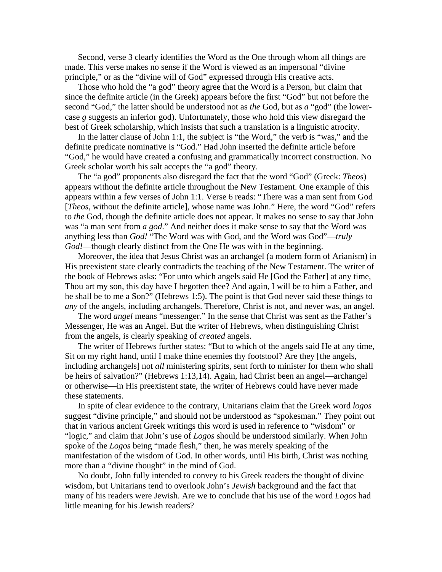Second, verse 3 clearly identifies the Word as the One through whom all things are made. This verse makes no sense if the Word is viewed as an impersonal "divine principle," or as the "divine will of God" expressed through His creative acts.

Those who hold the "a god" theory agree that the Word is a Person, but claim that since the definite article (in the Greek) appears before the first "God" but not before the second "God," the latter should be understood not as *the* God, but as *a* "god" (the lowercase *g* suggests an inferior god). Unfortunately, those who hold this view disregard the best of Greek scholarship, which insists that such a translation is a linguistic atrocity.

In the latter clause of John 1:1, the subject is "the Word," the verb is "was," and the definite predicate nominative is "God." Had John inserted the definite article before "God," he would have created a confusing and grammatically incorrect construction. No Greek scholar worth his salt accepts the "a god" theory.

The "a god" proponents also disregard the fact that the word "God" (Greek: *Theos*) appears without the definite article throughout the New Testament. One example of this appears within a few verses of John 1:1. Verse 6 reads: "There was a man sent from God [*Theos*, without the definite article], whose name was John." Here, the word "God" refers to *the* God, though the definite article does not appear. It makes no sense to say that John was "a man sent from *a god*." And neither does it make sense to say that the Word was anything less than *God!* "The Word was with God, and the Word was God"—*truly God!*—though clearly distinct from the One He was with in the beginning.

Moreover, the idea that Jesus Christ was an archangel (a modern form of Arianism) in His preexistent state clearly contradicts the teaching of the New Testament. The writer of the book of Hebrews asks: "For unto which angels said He [God the Father] at any time, Thou art my son, this day have I begotten thee? And again, I will be to him a Father, and he shall be to me a Son?" (Hebrews 1:5). The point is that God never said these things to *any* of the angels, including archangels. Therefore, Christ is not, and never was, an angel.

The word *angel* means "messenger." In the sense that Christ was sent as the Father's Messenger, He was an Angel. But the writer of Hebrews, when distinguishing Christ from the angels, is clearly speaking of *created* angels.

The writer of Hebrews further states: "But to which of the angels said He at any time, Sit on my right hand, until I make thine enemies thy footstool? Are they [the angels, including archangels] not *all* ministering spirits, sent forth to minister for them who shall be heirs of salvation?" (Hebrews 1:13,14). Again, had Christ been an angel—archangel or otherwise—in His preexistent state, the writer of Hebrews could have never made these statements.

In spite of clear evidence to the contrary, Unitarians claim that the Greek word *logos* suggest "divine principle," and should not be understood as "spokesman." They point out that in various ancient Greek writings this word is used in reference to "wisdom" or "logic," and claim that John's use of *Logos* should be understood similarly. When John spoke of the *Logos* being "made flesh," then, he was merely speaking of the manifestation of the wisdom of God. In other words, until His birth, Christ was nothing more than a "divine thought" in the mind of God.

No doubt, John fully intended to convey to his Greek readers the thought of divine wisdom, but Unitarians tend to overlook John's *Jewish* background and the fact that many of his readers were Jewish. Are we to conclude that his use of the word *Logos* had little meaning for his Jewish readers?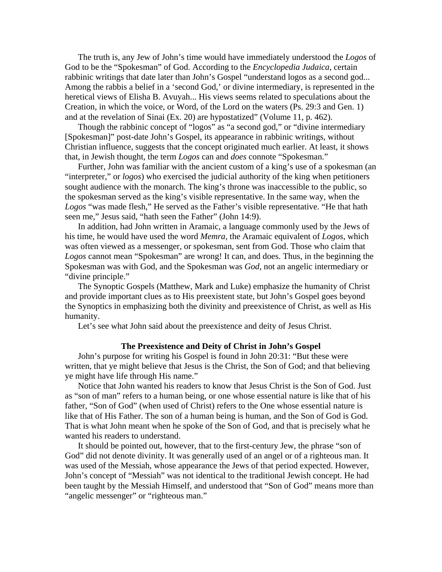The truth is, any Jew of John's time would have immediately understood the *Logos* of God to be the "Spokesman" of God. According to the *Encyclopedia Judaica*, certain rabbinic writings that date later than John's Gospel "understand logos as a second god... Among the rabbis a belief in a 'second God,' or divine intermediary, is represented in the heretical views of Elisha B. Avuyah... His views seems related to speculations about the Creation, in which the voice, or Word, of the Lord on the waters (Ps. 29:3 and Gen. 1) and at the revelation of Sinai (Ex. 20) are hypostatized" (Volume 11, p. 462).

Though the rabbinic concept of "logos" as "a second god," or "divine intermediary [Spokesman]" post-date John's Gospel, its appearance in rabbinic writings, without Christian influence, suggests that the concept originated much earlier. At least, it shows that, in Jewish thought, the term *Logos* can and *does* connote "Spokesman."

Further, John was familiar with the ancient custom of a king's use of a spokesman (an "interpreter," or *logos*) who exercised the judicial authority of the king when petitioners sought audience with the monarch. The king's throne was inaccessible to the public, so the spokesman served as the king's visible representative. In the same way, when the *Logos* "was made flesh," He served as the Father's visible representative. "He that hath seen me," Jesus said, "hath seen the Father" (John 14:9).

In addition, had John written in Aramaic, a language commonly used by the Jews of his time, he would have used the word *Memra*, the Aramaic equivalent of *Logos*, which was often viewed as a messenger, or spokesman, sent from God. Those who claim that *Logos* cannot mean "Spokesman" are wrong! It can, and does. Thus, in the beginning the Spokesman was with God, and the Spokesman was *God*, not an angelic intermediary or "divine principle."

The Synoptic Gospels (Matthew, Mark and Luke) emphasize the humanity of Christ and provide important clues as to His preexistent state, but John's Gospel goes beyond the Synoptics in emphasizing both the divinity and preexistence of Christ, as well as His humanity.

Let's see what John said about the preexistence and deity of Jesus Christ.

#### **The Preexistence and Deity of Christ in John's Gospel**

John's purpose for writing his Gospel is found in John 20:31: "But these were written, that ye might believe that Jesus is the Christ, the Son of God; and that believing ye might have life through His name."

Notice that John wanted his readers to know that Jesus Christ is the Son of God. Just as "son of man" refers to a human being, or one whose essential nature is like that of his father, "Son of God" (when used of Christ) refers to the One whose essential nature is like that of His Father. The son of a human being is human, and the Son of God is God. That is what John meant when he spoke of the Son of God, and that is precisely what he wanted his readers to understand.

It should be pointed out, however, that to the first-century Jew, the phrase "son of God" did not denote divinity. It was generally used of an angel or of a righteous man. It was used of the Messiah, whose appearance the Jews of that period expected. However, John's concept of "Messiah" was not identical to the traditional Jewish concept. He had been taught by the Messiah Himself, and understood that "Son of God" means more than "angelic messenger" or "righteous man."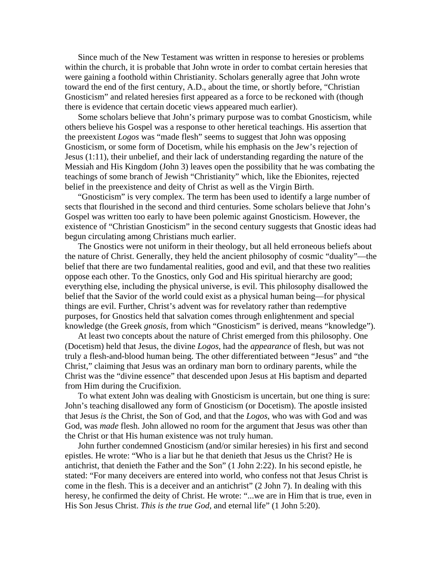Since much of the New Testament was written in response to heresies or problems within the church, it is probable that John wrote in order to combat certain heresies that were gaining a foothold within Christianity. Scholars generally agree that John wrote toward the end of the first century, A.D., about the time, or shortly before, "Christian Gnosticism" and related heresies first appeared as a force to be reckoned with (though there is evidence that certain docetic views appeared much earlier).

Some scholars believe that John's primary purpose was to combat Gnosticism, while others believe his Gospel was a response to other heretical teachings. His assertion that the preexistent *Logos* was "made flesh" seems to suggest that John was opposing Gnosticism, or some form of Docetism, while his emphasis on the Jew's rejection of Jesus (1:11), their unbelief, and their lack of understanding regarding the nature of the Messiah and His Kingdom (John 3) leaves open the possibility that he was combating the teachings of some branch of Jewish "Christianity" which, like the Ebionites, rejected belief in the preexistence and deity of Christ as well as the Virgin Birth.

"Gnosticism" is very complex. The term has been used to identify a large number of sects that flourished in the second and third centuries. Some scholars believe that John's Gospel was written too early to have been polemic against Gnosticism. However, the existence of "Christian Gnosticism" in the second century suggests that Gnostic ideas had begun circulating among Christians much earlier.

The Gnostics were not uniform in their theology, but all held erroneous beliefs about the nature of Christ. Generally, they held the ancient philosophy of cosmic "duality"—the belief that there are two fundamental realities, good and evil, and that these two realities oppose each other. To the Gnostics, only God and His spiritual hierarchy are good; everything else, including the physical universe, is evil. This philosophy disallowed the belief that the Savior of the world could exist as a physical human being—for physical things are evil. Further, Christ's advent was for revelatory rather than redemptive purposes, for Gnostics held that salvation comes through enlightenment and special knowledge (the Greek *gnosis*, from which "Gnosticism" is derived, means "knowledge").

At least two concepts about the nature of Christ emerged from this philosophy. One (Docetism) held that Jesus, the divine *Logos*, had the *appearance* of flesh, but was not truly a flesh-and-blood human being. The other differentiated between "Jesus" and "the Christ," claiming that Jesus was an ordinary man born to ordinary parents, while the Christ was the "divine essence" that descended upon Jesus at His baptism and departed from Him during the Crucifixion.

To what extent John was dealing with Gnosticism is uncertain, but one thing is sure: John's teaching disallowed any form of Gnosticism (or Docetism). The apostle insisted that Jesus *is* the Christ, the Son of God, and that the *Logos*, who was with God and was God, was *made* flesh. John allowed no room for the argument that Jesus was other than the Christ or that His human existence was not truly human.

John further condemned Gnosticism (and/or similar heresies) in his first and second epistles. He wrote: "Who is a liar but he that denieth that Jesus us the Christ? He is antichrist, that denieth the Father and the Son" (1 John 2:22). In his second epistle, he stated: "For many deceivers are entered into world, who confess not that Jesus Christ is come in the flesh. This is a deceiver and an antichrist" (2 John 7). In dealing with this heresy, he confirmed the deity of Christ. He wrote: "...we are in Him that is true, even in His Son Jesus Christ. *This is the true God*, and eternal life" (1 John 5:20).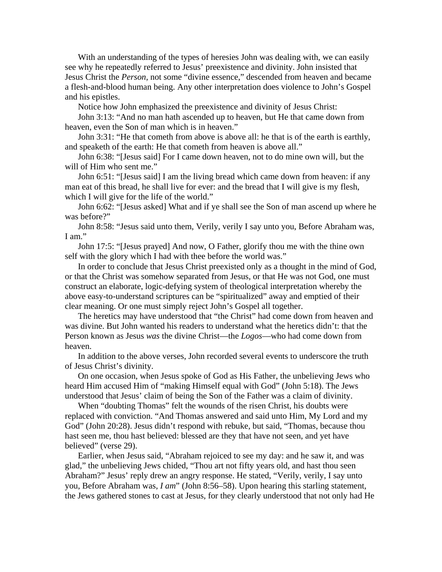With an understanding of the types of heresies John was dealing with, we can easily see why he repeatedly referred to Jesus' preexistence and divinity. John insisted that Jesus Christ the *Person*, not some "divine essence," descended from heaven and became a flesh-and-blood human being. Any other interpretation does violence to John's Gospel and his epistles.

Notice how John emphasized the preexistence and divinity of Jesus Christ:

John 3:13: "And no man hath ascended up to heaven, but He that came down from heaven, even the Son of man which is in heaven."

John 3:31: "He that cometh from above is above all: he that is of the earth is earthly, and speaketh of the earth: He that cometh from heaven is above all."

John 6:38: "[Jesus said] For I came down heaven, not to do mine own will, but the will of Him who sent me."

John 6:51: "[Jesus said] I am the living bread which came down from heaven: if any man eat of this bread, he shall live for ever: and the bread that I will give is my flesh, which I will give for the life of the world."

John 6:62: "[Jesus asked] What and if ye shall see the Son of man ascend up where he was before?"

John 8:58: "Jesus said unto them, Verily, verily I say unto you, Before Abraham was, I am."

John 17:5: "[Jesus prayed] And now, O Father, glorify thou me with the thine own self with the glory which I had with thee before the world was."

In order to conclude that Jesus Christ preexisted only as a thought in the mind of God, or that the Christ was somehow separated from Jesus, or that He was not God, one must construct an elaborate, logic-defying system of theological interpretation whereby the above easy-to-understand scriptures can be "spiritualized" away and emptied of their clear meaning. Or one must simply reject John's Gospel all together.

The heretics may have understood that "the Christ" had come down from heaven and was divine. But John wanted his readers to understand what the heretics didn't: that the Person known as Jesus *was* the divine Christ—the *Logos*—who had come down from heaven.

In addition to the above verses, John recorded several events to underscore the truth of Jesus Christ's divinity.

On one occasion, when Jesus spoke of God as His Father, the unbelieving Jews who heard Him accused Him of "making Himself equal with God" (John 5:18). The Jews understood that Jesus' claim of being the Son of the Father was a claim of divinity.

When "doubting Thomas" felt the wounds of the risen Christ, his doubts were replaced with conviction. "And Thomas answered and said unto Him, My Lord and my God" (John 20:28). Jesus didn't respond with rebuke, but said, "Thomas, because thou hast seen me, thou hast believed: blessed are they that have not seen, and yet have believed" (verse 29).

Earlier, when Jesus said, "Abraham rejoiced to see my day: and he saw it, and was glad," the unbelieving Jews chided, "Thou art not fifty years old, and hast thou seen Abraham?" Jesus' reply drew an angry response. He stated, "Verily, verily, I say unto you, Before Abraham was, *I am*" (John 8:56–58). Upon hearing this starling statement, the Jews gathered stones to cast at Jesus, for they clearly understood that not only had He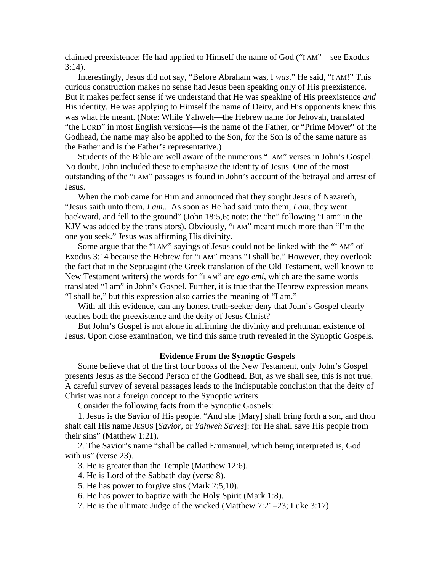claimed preexistence; He had applied to Himself the name of God ("I AM"—see Exodus 3:14).

Interestingly, Jesus did not say, "Before Abraham was, I *was*." He said, "I AM!" This curious construction makes no sense had Jesus been speaking only of His preexistence. But it makes perfect sense if we understand that He was speaking of His preexistence *and* His identity. He was applying to Himself the name of Deity, and His opponents knew this was what He meant. (Note: While Yahweh—the Hebrew name for Jehovah, translated "the LORD" in most English versions—is the name of the Father, or "Prime Mover" of the Godhead, the name may also be applied to the Son, for the Son is of the same nature as the Father and is the Father's representative.)

Students of the Bible are well aware of the numerous "I AM" verses in John's Gospel. No doubt, John included these to emphasize the identity of Jesus. One of the most outstanding of the "I AM" passages is found in John's account of the betrayal and arrest of Jesus.

When the mob came for Him and announced that they sought Jesus of Nazareth, "Jesus saith unto them, *I am*... As soon as He had said unto them, *I am*, they went backward, and fell to the ground" (John 18:5,6; note: the "he" following "I am" in the KJV was added by the translators). Obviously, "I AM" meant much more than "I'm the one you seek." Jesus was affirming His divinity.

Some argue that the "I AM" sayings of Jesus could not be linked with the "I AM" of Exodus 3:14 because the Hebrew for "I AM" means "I shall be." However, they overlook the fact that in the Septuagint (the Greek translation of the Old Testament, well known to New Testament writers) the words for "I AM" are *ego emi*, which are the same words translated "I am" in John's Gospel. Further, it is true that the Hebrew expression means "I shall be," but this expression also carries the meaning of "I am."

With all this evidence, can any honest truth-seeker deny that John's Gospel clearly teaches both the preexistence and the deity of Jesus Christ?

But John's Gospel is not alone in affirming the divinity and prehuman existence of Jesus. Upon close examination, we find this same truth revealed in the Synoptic Gospels.

#### **Evidence From the Synoptic Gospels**

Some believe that of the first four books of the New Testament, only John's Gospel presents Jesus as the Second Person of the Godhead. But, as we shall see, this is not true. A careful survey of several passages leads to the indisputable conclusion that the deity of Christ was not a foreign concept to the Synoptic writers.

Consider the following facts from the Synoptic Gospels:

1. Jesus is the Savior of His people. "And she [Mary] shall bring forth a son, and thou shalt call His name JESUS [*Savior*, or *Yahweh Saves*]: for He shall save His people from their sins" (Matthew 1:21).

2. The Savior's name "shall be called Emmanuel, which being interpreted is, God with us" (verse 23).

3. He is greater than the Temple (Matthew 12:6).

- 4. He is Lord of the Sabbath day (verse 8).
- 5. He has power to forgive sins (Mark 2:5,10).
- 6. He has power to baptize with the Holy Spirit (Mark 1:8).
- 7. He is the ultimate Judge of the wicked (Matthew 7:21–23; Luke 3:17).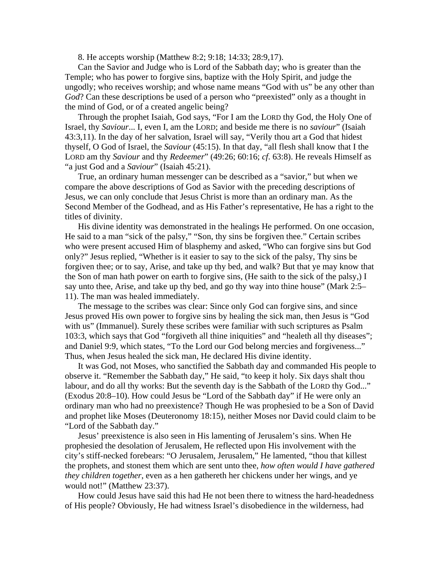8. He accepts worship (Matthew 8:2; 9:18; 14:33; 28:9,17).

Can the Savior and Judge who is Lord of the Sabbath day; who is greater than the Temple; who has power to forgive sins, baptize with the Holy Spirit, and judge the ungodly; who receives worship; and whose name means "God with us" be any other than *God*? Can these descriptions be used of a person who "preexisted" only as a thought in the mind of God, or of a created angelic being?

Through the prophet Isaiah, God says, "For I am the LORD thy God, the Holy One of Israel, thy *Saviour*... I, even I, am the LORD; and beside me there is no *saviour*" (Isaiah 43:3,11). In the day of her salvation, Israel will say, "Verily thou art a God that hidest thyself, O God of Israel, the *Saviour* (45:15). In that day, "all flesh shall know that I the LORD am thy *Saviour* and thy *Redeemer*" (49:26; 60:16; *cf*. 63:8). He reveals Himself as "a just God and a *Saviour*" (Isaiah 45:21).

True, an ordinary human messenger can be described as a "savior," but when we compare the above descriptions of God as Savior with the preceding descriptions of Jesus, we can only conclude that Jesus Christ is more than an ordinary man. As the Second Member of the Godhead, and as His Father's representative, He has a right to the titles of divinity.

His divine identity was demonstrated in the healings He performed. On one occasion, He said to a man "sick of the palsy," "Son, thy sins be forgiven thee." Certain scribes who were present accused Him of blasphemy and asked, "Who can forgive sins but God only?" Jesus replied, "Whether is it easier to say to the sick of the palsy, Thy sins be forgiven thee; or to say, Arise, and take up thy bed, and walk? But that ye may know that the Son of man hath power on earth to forgive sins, (He saith to the sick of the palsy,) I say unto thee, Arise, and take up thy bed, and go thy way into thine house" (Mark 2:5– 11). The man was healed immediately.

The message to the scribes was clear: Since only God can forgive sins, and since Jesus proved His own power to forgive sins by healing the sick man, then Jesus is "God with us" (Immanuel). Surely these scribes were familiar with such scriptures as Psalm 103:3, which says that God "forgiveth all thine iniquities" and "healeth all thy diseases"; and Daniel 9:9, which states, "To the Lord our God belong mercies and forgiveness..." Thus, when Jesus healed the sick man, He declared His divine identity.

It was God, not Moses, who sanctified the Sabbath day and commanded His people to observe it. "Remember the Sabbath day," He said, "to keep it holy. Six days shalt thou labour, and do all thy works: But the seventh day is the Sabbath of the LORD thy God..." (Exodus 20:8–10). How could Jesus be "Lord of the Sabbath day" if He were only an ordinary man who had no preexistence? Though He was prophesied to be a Son of David and prophet like Moses (Deuteronomy 18:15), neither Moses nor David could claim to be "Lord of the Sabbath day."

Jesus' preexistence is also seen in His lamenting of Jerusalem's sins. When He prophesied the desolation of Jerusalem, He reflected upon His involvement with the city's stiff-necked forebears: "O Jerusalem, Jerusalem," He lamented, "thou that killest the prophets, and stonest them which are sent unto thee, *how often would I have gathered they children together*, even as a hen gathereth her chickens under her wings, and ye would not!" (Matthew 23:37).

How could Jesus have said this had He not been there to witness the hard-headedness of His people? Obviously, He had witness Israel's disobedience in the wilderness, had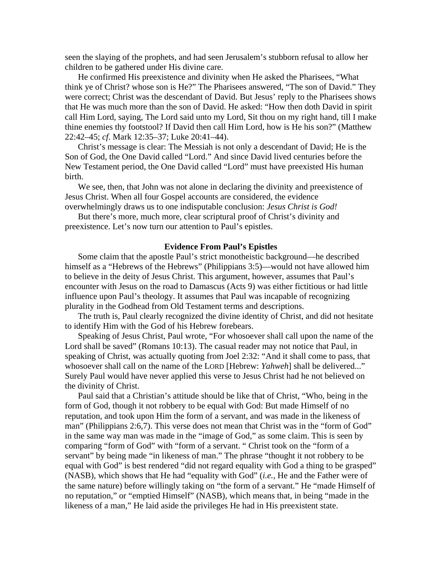seen the slaying of the prophets, and had seen Jerusalem's stubborn refusal to allow her children to be gathered under His divine care.

He confirmed His preexistence and divinity when He asked the Pharisees, "What think ye of Christ? whose son is He?" The Pharisees answered, "The son of David." They were correct; Christ was the descendant of David. But Jesus' reply to the Pharisees shows that He was much more than the son of David. He asked: "How then doth David in spirit call Him Lord, saying, The Lord said unto my Lord, Sit thou on my right hand, till I make thine enemies thy footstool? If David then call Him Lord, how is He his son?" (Matthew 22:42–45; *cf*. Mark 12:35–37; Luke 20:41–44).

Christ's message is clear: The Messiah is not only a descendant of David; He is the Son of God, the One David called "Lord." And since David lived centuries before the New Testament period, the One David called "Lord" must have preexisted His human birth.

We see, then, that John was not alone in declaring the divinity and preexistence of Jesus Christ. When all four Gospel accounts are considered, the evidence overwhelmingly draws us to one indisputable conclusion: *Jesus Christ is God!*

But there's more, much more, clear scriptural proof of Christ's divinity and preexistence. Let's now turn our attention to Paul's epistles.

#### **Evidence From Paul's Epistles**

Some claim that the apostle Paul's strict monotheistic background—he described himself as a "Hebrews of the Hebrews" (Philippians 3:5)—would not have allowed him to believe in the deity of Jesus Christ. This argument, however, assumes that Paul's encounter with Jesus on the road to Damascus (Acts 9) was either fictitious or had little influence upon Paul's theology. It assumes that Paul was incapable of recognizing plurality in the Godhead from Old Testament terms and descriptions.

The truth is, Paul clearly recognized the divine identity of Christ, and did not hesitate to identify Him with the God of his Hebrew forebears.

Speaking of Jesus Christ, Paul wrote, "For whosoever shall call upon the name of the Lord shall be saved" (Romans 10:13). The casual reader may not notice that Paul, in speaking of Christ, was actually quoting from Joel 2:32: "And it shall come to pass, that whosoever shall call on the name of the LORD [Hebrew: *Yahweh*] shall be delivered..." Surely Paul would have never applied this verse to Jesus Christ had he not believed on the divinity of Christ.

Paul said that a Christian's attitude should be like that of Christ, "Who, being in the form of God, though it not robbery to be equal with God: But made Himself of no reputation, and took upon Him the form of a servant, and was made in the likeness of man" (Philippians 2:6,7). This verse does not mean that Christ was in the "form of God" in the same way man was made in the "image of God," as some claim. This is seen by comparing "form of God" with "form of a servant. " Christ took on the "form of a servant" by being made "in likeness of man." The phrase "thought it not robbery to be equal with God" is best rendered "did not regard equality with God a thing to be grasped" (NASB), which shows that He had "equality with God" (*i.e.*, He and the Father were of the same nature) before willingly taking on "the form of a servant." He "made Himself of no reputation," or "emptied Himself" (NASB), which means that, in being "made in the likeness of a man," He laid aside the privileges He had in His preexistent state.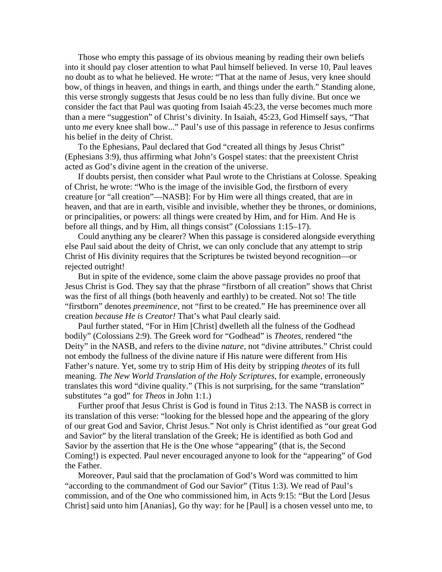Those who empty this passage of its obvious meaning by reading their own beliefs into it should pay closer attention to what Paul himself believed. In verse 10, Paul leaves no doubt as to what he believed. He wrote: "That at the name of Jesus, very knee should bow, of things in heaven, and things in earth, and things under the earth." Standing alone, this verse strongly suggests that Jesus could be no less than fully divine. But once we consider the fact that Paul was quoting from Isaiah 45:23, the verse becomes much more than a mere "suggestion" of Christ's divinity. In Isaiah, 45:23, God Himself says, "That unto *me* every knee shall bow..." Paul's use of this passage in reference to Jesus confirms his belief in the deity of Christ.

To the Ephesians, Paul declared that God "created all things by Jesus Christ" (Ephesians 3:9), thus affirming what John's Gospel states: that the preexistent Christ acted as God's divine agent in the creation of the universe.

If doubts persist, then consider what Paul wrote to the Christians at Colosse. Speaking of Christ, he wrote: "Who is the image of the invisible God, the firstborn of every creature [or "all creation"—NASB]: For by Him were all things created, that are in heaven, and that are in earth, visible and invisible, whether they be thrones, or dominions, or principalities, or powers: all things were created by Him, and for Him. And He is before all things, and by Him, all things consist" (Colossians 1:15–17).

Could anything any be clearer? When this passage is considered alongside everything else Paul said about the deity of Christ, we can only conclude that any attempt to strip Christ of His divinity requires that the Scriptures be twisted beyond recognition—or rejected outright!

But in spite of the evidence, some claim the above passage provides no proof that Jesus Christ is God. They say that the phrase "firstborn of all creation" shows that Christ was the first of all things (both heavenly and earthly) to be created. Not so! The title "firstborn" denotes *preeminence*, not "first to be created." He has preeminence over all creation *because He is Creator!* That's what Paul clearly said.

Paul further stated, "For in Him [Christ] dwelleth all the fulness of the Godhead bodily" (Colossians 2:9). The Greek word for "Godhead" is *Theotes*, rendered "the Deity" in the NASB, and refers to the divine *nature*, not "divine attributes." Christ could not embody the fullness of the divine nature if His nature were different from His Father's nature. Yet, some try to strip Him of His deity by stripping *theotes* of its full meaning. *The New World Translation of the Holy Scriptures*, for example, erroneously translates this word "divine quality." (This is not surprising, for the same "translation" substitutes "a god" for *Theos* in John 1:1.)

Further proof that Jesus Christ is God is found in Titus 2:13. The NASB is correct in its translation of this verse: "looking for the blessed hope and the appearing of the glory of our great God and Savior, Christ Jesus." Not only is Christ identified as "our great God and Savior" by the literal translation of the Greek; He is identified as both God and Savior by the assertion that He is the One whose "appearing" (that is, the Second Coming!) is expected. Paul never encouraged anyone to look for the "appearing" of God the Father.

Moreover, Paul said that the proclamation of God's Word was committed to him "according to the commandment of God our Savior" (Titus 1:3). We read of Paul's commission, and of the One who commissioned him, in Acts 9:15: "But the Lord [Jesus Christ] said unto him [Ananias], Go thy way: for he [Paul] is a chosen vessel unto me, to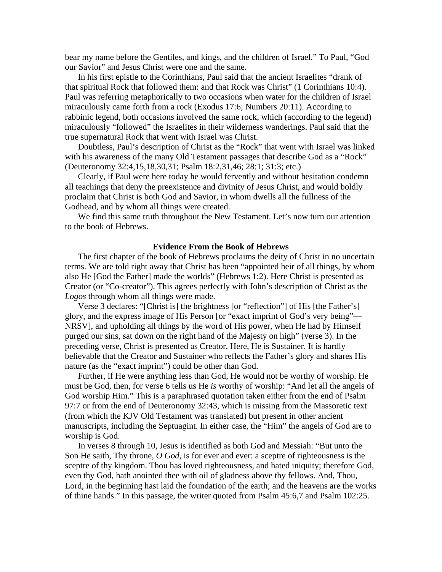bear my name before the Gentiles, and kings, and the children of Israel." To Paul, "God our Savior" and Jesus Christ were one and the same.

In his first epistle to the Corinthians, Paul said that the ancient Israelites "drank of that spiritual Rock that followed them: and that Rock was Christ" (1 Corinthians 10:4). Paul was referring metaphorically to two occasions when water for the children of Israel miraculously came forth from a rock (Exodus 17:6; Numbers 20:11). According to rabbinic legend, both occasions involved the same rock, which (according to the legend) miraculously "followed" the Israelites in their wilderness wanderings. Paul said that the true supernatural Rock that went with Israel was Christ.

Doubtless, Paul's description of Christ as the "Rock" that went with Israel was linked with his awareness of the many Old Testament passages that describe God as a "Rock" (Deuteronomy 32:4,15,18,30,31; Psalm 18:2,31,46; 28:1; 31:3; etc.)

Clearly, if Paul were here today he would fervently and without hesitation condemn all teachings that deny the preexistence and divinity of Jesus Christ, and would boldly proclaim that Christ is both God and Savior, in whom dwells all the fullness of the Godhead, and by whom all things were created.

We find this same truth throughout the New Testament. Let's now turn our attention to the book of Hebrews.

#### **Evidence From the Book of Hebrews**

The first chapter of the book of Hebrews proclaims the deity of Christ in no uncertain terms. We are told right away that Christ has been "appointed heir of all things, by whom also He [God the Father] made the worlds" (Hebrews 1:2). Here Christ is presented as Creator (or "Co-creator"). This agrees perfectly with John's description of Christ as the *Logos* through whom all things were made.

Verse 3 declares: "[Christ is] the brightness [or "reflection"] of His [the Father's] glory, and the express image of His Person [or "exact imprint of God's very being"— NRSV], and upholding all things by the word of His power, when He had by Himself purged our sins, sat down on the right hand of the Majesty on high" (verse 3). In the preceding verse, Christ is presented as Creator. Here, He is Sustainer. It is hardly believable that the Creator and Sustainer who reflects the Father's glory and shares His nature (as the "exact imprint") could be other than God.

Further, if He were anything less than God, He would not be worthy of worship. He must be God, then, for verse 6 tells us He *is* worthy of worship: "And let all the angels of God worship Him." This is a paraphrased quotation taken either from the end of Psalm 97:7 or from the end of Deuteronomy 32:43, which is missing from the Massoretic text (from which the KJV Old Testament was translated) but present in other ancient manuscripts, including the Septuagint. In either case, the "Him" the angels of God are to worship is God.

In verses 8 through 10, Jesus is identified as both God and Messiah: "But unto the Son He saith, Thy throne, *O God*, is for ever and ever: a sceptre of righteousness is the sceptre of thy kingdom. Thou has loved righteousness, and hated iniquity; therefore God, even thy God, hath anointed thee with oil of gladness above thy fellows. And, Thou, Lord, in the beginning hast laid the foundation of the earth; and the heavens are the works of thine hands." In this passage, the writer quoted from Psalm 45:6,7 and Psalm 102:25.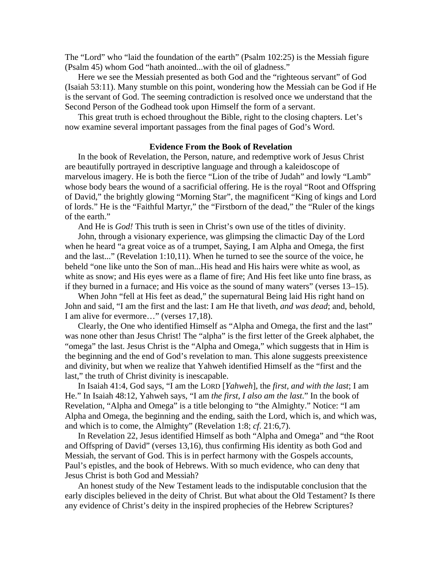The "Lord" who "laid the foundation of the earth" (Psalm 102:25) is the Messiah figure (Psalm 45) whom God "hath anointed...with the oil of gladness."

Here we see the Messiah presented as both God and the "righteous servant" of God (Isaiah 53:11). Many stumble on this point, wondering how the Messiah can be God if He is the servant of God. The seeming contradiction is resolved once we understand that the Second Person of the Godhead took upon Himself the form of a servant.

This great truth is echoed throughout the Bible, right to the closing chapters. Let's now examine several important passages from the final pages of God's Word.

#### **Evidence From the Book of Revelation**

In the book of Revelation, the Person, nature, and redemptive work of Jesus Christ are beautifully portrayed in descriptive language and through a kaleidoscope of marvelous imagery. He is both the fierce "Lion of the tribe of Judah" and lowly "Lamb" whose body bears the wound of a sacrificial offering. He is the royal "Root and Offspring of David," the brightly glowing "Morning Star", the magnificent "King of kings and Lord of lords." He is the "Faithful Martyr," the "Firstborn of the dead," the "Ruler of the kings of the earth."

And He is *God!* This truth is seen in Christ's own use of the titles of divinity.

John, through a visionary experience, was glimpsing the climactic Day of the Lord when he heard "a great voice as of a trumpet, Saying, I am Alpha and Omega, the first and the last..." (Revelation 1:10,11). When he turned to see the source of the voice, he beheld "one like unto the Son of man...His head and His hairs were white as wool, as white as snow; and His eyes were as a flame of fire; And His feet like unto fine brass, as if they burned in a furnace; and His voice as the sound of many waters" (verses 13–15).

When John "fell at His feet as dead," the supernatural Being laid His right hand on John and said, "I am the first and the last: I am He that liveth, *and was dead*; and, behold, I am alive for evermore…" (verses 17,18).

Clearly, the One who identified Himself as "Alpha and Omega, the first and the last" was none other than Jesus Christ! The "alpha" is the first letter of the Greek alphabet, the "omega" the last. Jesus Christ is the "Alpha and Omega," which suggests that in Him is the beginning and the end of God's revelation to man. This alone suggests preexistence and divinity, but when we realize that Yahweh identified Himself as the "first and the last," the truth of Christ divinity is inescapable.

In Isaiah 41:4, God says, "I am the LORD [*Yahweh*], the *first, and with the last*; I am He." In Isaiah 48:12, Yahweh says, "I am *the first*, *I also am the last*." In the book of Revelation, "Alpha and Omega" is a title belonging to "the Almighty." Notice: "I am Alpha and Omega, the beginning and the ending, saith the Lord, which is, and which was, and which is to come, the Almighty" (Revelation 1:8; *cf*. 21:6,7).

In Revelation 22, Jesus identified Himself as both "Alpha and Omega" and "the Root and Offspring of David" (verses 13,16), thus confirming His identity as both God and Messiah, the servant of God. This is in perfect harmony with the Gospels accounts, Paul's epistles, and the book of Hebrews. With so much evidence, who can deny that Jesus Christ is both God and Messiah?

An honest study of the New Testament leads to the indisputable conclusion that the early disciples believed in the deity of Christ. But what about the Old Testament? Is there any evidence of Christ's deity in the inspired prophecies of the Hebrew Scriptures?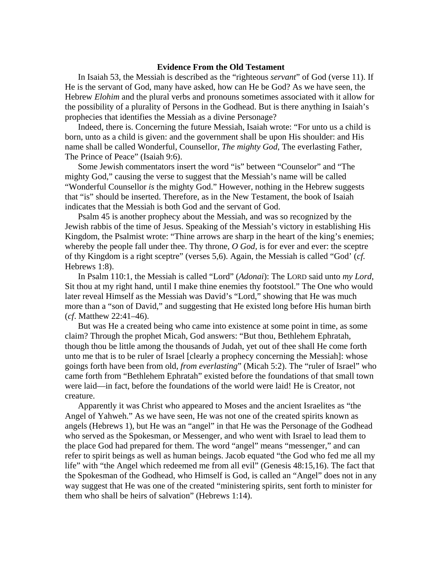#### **Evidence From the Old Testament**

In Isaiah 53, the Messiah is described as the "righteous *servant*" of God (verse 11). If He is the servant of God, many have asked, how can He be God? As we have seen, the Hebrew *Elohim* and the plural verbs and pronouns sometimes associated with it allow for the possibility of a plurality of Persons in the Godhead. But is there anything in Isaiah's prophecies that identifies the Messiah as a divine Personage?

Indeed, there is. Concerning the future Messiah, Isaiah wrote: "For unto us a child is born, unto as a child is given: and the government shall be upon His shoulder: and His name shall be called Wonderful, Counsellor, *The mighty God*, The everlasting Father, The Prince of Peace" (Isaiah 9:6).

Some Jewish commentators insert the word "is" between "Counselor" and "The mighty God," causing the verse to suggest that the Messiah's name will be called "Wonderful Counsellor *is* the mighty God." However, nothing in the Hebrew suggests that "is" should be inserted. Therefore, as in the New Testament, the book of Isaiah indicates that the Messiah is both God and the servant of God.

Psalm 45 is another prophecy about the Messiah, and was so recognized by the Jewish rabbis of the time of Jesus. Speaking of the Messiah's victory in establishing His Kingdom, the Psalmist wrote: "Thine arrows are sharp in the heart of the king's enemies; whereby the people fall under thee. Thy throne, *O God,* is for ever and ever: the sceptre of thy Kingdom is a right sceptre" (verses 5,6). Again, the Messiah is called "God' (*cf.* Hebrews 1:8).

In Psalm 110:1, the Messiah is called "Lord" (*Adonai*): The LORD said unto *my Lord*, Sit thou at my right hand, until I make thine enemies thy footstool." The One who would later reveal Himself as the Messiah was David's "Lord," showing that He was much more than a "son of David," and suggesting that He existed long before His human birth (*cf*. Matthew 22:41–46).

But was He a created being who came into existence at some point in time, as some claim? Through the prophet Micah, God answers: "But thou, Bethlehem Ephratah, though thou be little among the thousands of Judah, yet out of thee shall He come forth unto me that is to be ruler of Israel [clearly a prophecy concerning the Messiah]: whose goings forth have been from old, *from everlasting*" (Micah 5:2). The "ruler of Israel" who came forth from "Bethlehem Ephratah" existed before the foundations of that small town were laid—in fact, before the foundations of the world were laid! He is Creator, not creature.

Apparently it was Christ who appeared to Moses and the ancient Israelites as "the Angel of Yahweh." As we have seen, He was not one of the created spirits known as angels (Hebrews 1), but He was an "angel" in that He was the Personage of the Godhead who served as the Spokesman, or Messenger, and who went with Israel to lead them to the place God had prepared for them. The word "angel" means "messenger," and can refer to spirit beings as well as human beings. Jacob equated "the God who fed me all my life" with "the Angel which redeemed me from all evil" (Genesis 48:15,16). The fact that the Spokesman of the Godhead, who Himself is God, is called an "Angel" does not in any way suggest that He was one of the created "ministering spirits, sent forth to minister for them who shall be heirs of salvation" (Hebrews 1:14).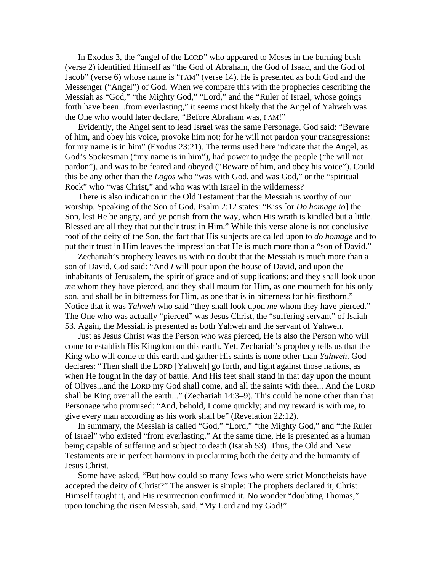In Exodus 3, the "angel of the LORD" who appeared to Moses in the burning bush (verse 2) identified Himself as "the God of Abraham, the God of Isaac, and the God of Jacob" (verse 6) whose name is "I AM" (verse 14). He is presented as both God and the Messenger ("Angel") of God. When we compare this with the prophecies describing the Messiah as "God," "the Mighty God," "Lord," and the "Ruler of Israel, whose goings forth have been...from everlasting," it seems most likely that the Angel of Yahweh was the One who would later declare, "Before Abraham was, I AM!"

Evidently, the Angel sent to lead Israel was the same Personage. God said: "Beware of him, and obey his voice, provoke him not; for he will not pardon your transgressions: for my name is in him" (Exodus 23:21). The terms used here indicate that the Angel, as God's Spokesman ("my name is in him"), had power to judge the people ("he will not pardon"), and was to be feared and obeyed ("Beware of him, and obey his voice"). Could this be any other than the *Logos* who "was with God, and was God," or the "spiritual Rock" who "was Christ," and who was with Israel in the wilderness?

There is also indication in the Old Testament that the Messiah is worthy of our worship. Speaking of the Son of God, Psalm 2:12 states: "Kiss [or *Do homage to*] the Son, lest He be angry, and ye perish from the way, when His wrath is kindled but a little. Blessed are all they that put their trust in Him." While this verse alone is not conclusive roof of the deity of the Son, the fact that His subjects are called upon to *do homage* and to put their trust in Him leaves the impression that He is much more than a "son of David."

Zechariah's prophecy leaves us with no doubt that the Messiah is much more than a son of David. God said: "And *I* will pour upon the house of David, and upon the inhabitants of Jerusalem, the spirit of grace and of supplications: and they shall look upon *me* whom they have pierced, and they shall mourn for Him, as one mourneth for his only son, and shall be in bitterness for Him, as one that is in bitterness for his firstborn." Notice that it was *Yahweh* who said "they shall look upon *me* whom they have pierced." The One who was actually "pierced" was Jesus Christ, the "suffering servant" of Isaiah 53. Again, the Messiah is presented as both Yahweh and the servant of Yahweh.

Just as Jesus Christ was the Person who was pierced, He is also the Person who will come to establish His Kingdom on this earth. Yet, Zechariah's prophecy tells us that the King who will come to this earth and gather His saints is none other than *Yahweh*. God declares: "Then shall the LORD [Yahweh] go forth, and fight against those nations, as when He fought in the day of battle. And His feet shall stand in that day upon the mount of Olives...and the LORD my God shall come, and all the saints with thee... And the LORD shall be King over all the earth..." (Zechariah 14:3–9). This could be none other than that Personage who promised: "And, behold, I come quickly; and my reward is with me, to give every man according as his work shall be" (Revelation 22:12).

In summary, the Messiah is called "God," "Lord," "the Mighty God," and "the Ruler of Israel" who existed "from everlasting." At the same time, He is presented as a human being capable of suffering and subject to death (Isaiah 53). Thus, the Old and New Testaments are in perfect harmony in proclaiming both the deity and the humanity of Jesus Christ.

Some have asked, "But how could so many Jews who were strict Monotheists have accepted the deity of Christ?" The answer is simple: The prophets declared it, Christ Himself taught it, and His resurrection confirmed it. No wonder "doubting Thomas," upon touching the risen Messiah, said, "My Lord and my God!"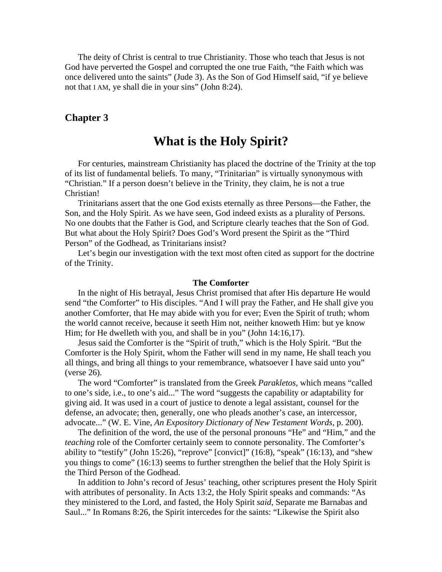The deity of Christ is central to true Christianity. Those who teach that Jesus is not God have perverted the Gospel and corrupted the one true Faith, "the Faith which was once delivered unto the saints" (Jude 3). As the Son of God Himself said, "if ye believe not that I AM, ye shall die in your sins" (John 8:24).

## **Chapter 3**

# **What is the Holy Spirit?**

For centuries, mainstream Christianity has placed the doctrine of the Trinity at the top of its list of fundamental beliefs. To many, "Trinitarian" is virtually synonymous with "Christian." If a person doesn't believe in the Trinity, they claim, he is not a true Christian!

Trinitarians assert that the one God exists eternally as three Persons—the Father, the Son, and the Holy Spirit. As we have seen, God indeed exists as a plurality of Persons. No one doubts that the Father is God, and Scripture clearly teaches that the Son of God. But what about the Holy Spirit? Does God's Word present the Spirit as the "Third Person" of the Godhead, as Trinitarians insist?

Let's begin our investigation with the text most often cited as support for the doctrine of the Trinity.

#### **The Comforter**

In the night of His betrayal, Jesus Christ promised that after His departure He would send "the Comforter" to His disciples. "And I will pray the Father, and He shall give you another Comforter, that He may abide with you for ever; Even the Spirit of truth; whom the world cannot receive, because it seeth Him not, neither knoweth Him: but ye know Him; for He dwelleth with you, and shall be in you" (John 14:16,17).

Jesus said the Comforter is the "Spirit of truth," which is the Holy Spirit. "But the Comforter is the Holy Spirit, whom the Father will send in my name, He shall teach you all things, and bring all things to your remembrance, whatsoever I have said unto you" (verse 26).

The word "Comforter" is translated from the Greek *Parakletos*, which means "called to one's side, i.e., to one's aid..." The word "suggests the capability or adaptability for giving aid. It was used in a court of justice to denote a legal assistant, counsel for the defense, an advocate; then, generally, one who pleads another's case, an intercessor, advocate..." (W. E. Vine, *An Expository Dictionary of New Testament Words*, p. 200).

The definition of the word, the use of the personal pronouns "He" and "Him," and the *teaching* role of the Comforter certainly seem to connote personality. The Comforter's ability to "testify" (John 15:26), "reprove" [convict]" (16:8), "speak" (16:13), and "shew you things to come" (16:13) seems to further strengthen the belief that the Holy Spirit is the Third Person of the Godhead.

In addition to John's record of Jesus' teaching, other scriptures present the Holy Spirit with attributes of personality. In Acts 13:2, the Holy Spirit speaks and commands: "As they ministered to the Lord, and fasted, the Holy Spirit *said*, Separate me Barnabas and Saul..." In Romans 8:26, the Spirit intercedes for the saints: "Likewise the Spirit also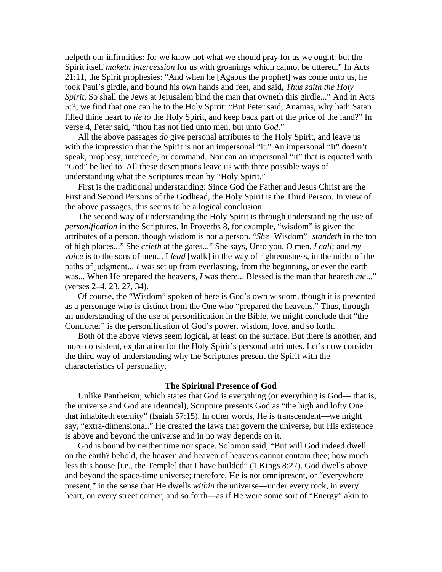helpeth our infirmities: for we know not what we should pray for as we ought: but the Spirit itself *maketh intercession* for us with groanings which cannot be uttered." In Acts 21:11, the Spirit prophesies: "And when he [Agabus the prophet] was come unto us, he took Paul's girdle, and bound his own hands and feet, and said, *Thus saith the Holy Spirit*, So shall the Jews at Jerusalem bind the man that owneth this girdle..." And in Acts 5:3, we find that one can lie to the Holy Spirit: "But Peter said, Ananias, why hath Satan filled thine heart to *lie to* the Holy Spirit, and keep back part of the price of the land?" In verse 4, Peter said, "thou has not lied unto men, but unto *God*."

All the above passages *do* give personal attributes to the Holy Spirit, and leave us with the impression that the Spirit is not an impersonal "it." An impersonal "it" doesn't speak, prophesy, intercede, or command. Nor can an impersonal "it" that is equated with "God" be lied to. All these descriptions leave us with three possible ways of understanding what the Scriptures mean by "Holy Spirit."

First is the traditional understanding: Since God the Father and Jesus Christ are the First and Second Persons of the Godhead, the Holy Spirit is the Third Person. In view of the above passages, this seems to be a logical conclusion.

The second way of understanding the Holy Spirit is through understanding the use of *personification* in the Scriptures. In Proverbs 8, for example, "wisdom" is given the attributes of a person, though wisdom is not a person. "*She* [Wisdom"] *standeth* in the top of high places..." She *crieth* at the gates..." She says, Unto you, O men, *I call*; and *my voice* is to the sons of men... I *lead* [walk] in the way of righteousness, in the midst of the paths of judgment... *I* was set up from everlasting, from the beginning, or ever the earth was... When He prepared the heavens, *I* was there... Blessed is the man that heareth *me*..." (verses 2–4, 23, 27, 34).

Of course, the "Wisdom" spoken of here is God's own wisdom, though it is presented as a personage who is distinct from the One who "prepared the heavens." Thus, through an understanding of the use of personification in the Bible, we might conclude that "the Comforter" is the personification of God's power, wisdom, love, and so forth.

Both of the above views seem logical, at least on the surface. But there is another, and more consistent, explanation for the Holy Spirit's personal attributes. Let's now consider the third way of understanding why the Scriptures present the Spirit with the characteristics of personality.

#### **The Spiritual Presence of God**

Unlike Pantheism, which states that God is everything (or everything is God— that is, the universe and God are identical), Scripture presents God as "the high and lofty One that inhabiteth eternity" (Isaiah 57:15). In other words, He is transcendent—we might say, "extra-dimensional." He created the laws that govern the universe, but His existence is above and beyond the universe and in no way depends on it.

God is bound by neither time nor space. Solomon said, "But will God indeed dwell on the earth? behold, the heaven and heaven of heavens cannot contain thee; how much less this house [i.e., the Temple] that I have builded" (1 Kings 8:27). God dwells above and beyond the space-time universe; therefore, He is not omnipresent, or "everywhere present," in the sense that He dwells *within* the universe—under every rock, in every heart, on every street corner, and so forth—as if He were some sort of "Energy" akin to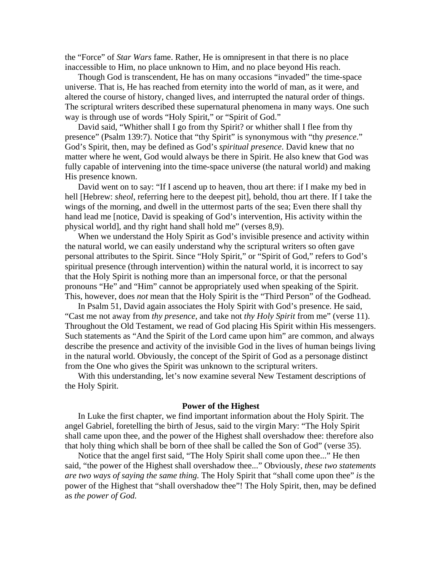the "Force" of *Star Wars* fame. Rather, He is omnipresent in that there is no place inaccessible to Him, no place unknown to Him, and no place beyond His reach.

Though God is transcendent, He has on many occasions "invaded" the time-space universe. That is, He has reached from eternity into the world of man, as it were, and altered the course of history, changed lives, and interrupted the natural order of things. The scriptural writers described these supernatural phenomena in many ways. One such way is through use of words "Holy Spirit," or "Spirit of God."

David said, "Whither shall I go from thy Spirit? or whither shall I flee from thy presence" (Psalm 139:7). Notice that "thy Spirit" is synonymous with "thy *presence*." God's Spirit, then, may be defined as God's *spiritual presence*. David knew that no matter where he went, God would always be there in Spirit. He also knew that God was fully capable of intervening into the time-space universe (the natural world) and making His presence known.

David went on to say: "If I ascend up to heaven, thou art there: if I make my bed in hell [Hebrew: *sheol*, referring here to the deepest pit], behold, thou art there. If I take the wings of the morning, and dwell in the uttermost parts of the sea; Even there shall thy hand lead me [notice, David is speaking of God's intervention, His activity within the physical world], and thy right hand shall hold me" (verses 8,9).

When we understand the Holy Spirit as God's invisible presence and activity within the natural world, we can easily understand why the scriptural writers so often gave personal attributes to the Spirit. Since "Holy Spirit," or "Spirit of God," refers to God's spiritual presence (through intervention) within the natural world, it is incorrect to say that the Holy Spirit is nothing more than an impersonal force, or that the personal pronouns "He" and "Him" cannot be appropriately used when speaking of the Spirit. This, however, does *not* mean that the Holy Spirit is the "Third Person" of the Godhead.

In Psalm 51, David again associates the Holy Spirit with God's presence. He said, "Cast me not away from *thy presence*, and take not *thy Holy Spirit* from me" (verse 11). Throughout the Old Testament, we read of God placing His Spirit within His messengers. Such statements as "And the Spirit of the Lord came upon him" are common, and always describe the presence and activity of the invisible God in the lives of human beings living in the natural world. Obviously, the concept of the Spirit of God as a personage distinct from the One who gives the Spirit was unknown to the scriptural writers.

With this understanding, let's now examine several New Testament descriptions of the Holy Spirit.

### **Power of the Highest**

In Luke the first chapter, we find important information about the Holy Spirit. The angel Gabriel, foretelling the birth of Jesus, said to the virgin Mary: "The Holy Spirit shall came upon thee, and the power of the Highest shall overshadow thee: therefore also that holy thing which shall be born of thee shall be called the Son of God" (verse 35).

Notice that the angel first said, "The Holy Spirit shall come upon thee..." He then said, "the power of the Highest shall overshadow thee..." Obviously, *these two statements are two ways of saying the same thing.* The Holy Spirit that "shall come upon thee" *is* the power of the Highest that "shall overshadow thee"! The Holy Spirit, then, may be defined as *the power of God.*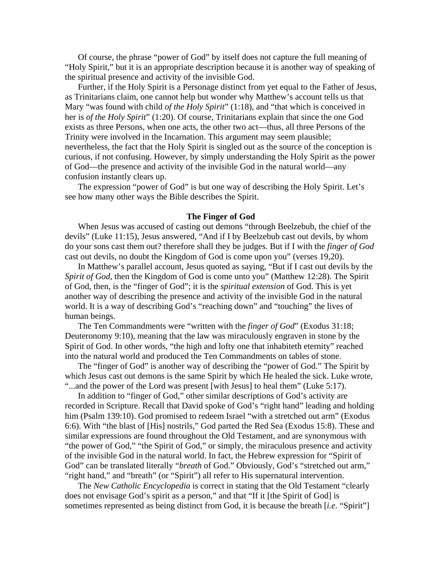Of course, the phrase "power of God" by itself does not capture the full meaning of "Holy Spirit," but it is an appropriate description because it is another way of speaking of the spiritual presence and activity of the invisible God.

Further, if the Holy Spirit is a Personage distinct from yet equal to the Father of Jesus, as Trinitarians claim, one cannot help but wonder why Matthew's account tells us that Mary "was found with child *of the Holy Spirit*" (1:18), and "that which is conceived in her is *of the Holy Spirit*" (1:20). Of course, Trinitarians explain that since the one God exists as three Persons, when one acts, the other two act—thus, all three Persons of the Trinity were involved in the Incarnation. This argument may seem plausible; nevertheless, the fact that the Holy Spirit is singled out as the source of the conception is curious, if not confusing. However, by simply understanding the Holy Spirit as the power of God—the presence and activity of the invisible God in the natural world—any confusion instantly clears up.

The expression "power of God" is but one way of describing the Holy Spirit. Let's see how many other ways the Bible describes the Spirit.

#### **The Finger of God**

When Jesus was accused of casting out demons "through Beelzebub, the chief of the devils" (Luke 11:15), Jesus answered, "And if I by Beelzebub cast out devils, by whom do your sons cast them out? therefore shall they be judges. But if I with the *finger of God* cast out devils, no doubt the Kingdom of God is come upon you" (verses 19,20).

In Matthew's parallel account, Jesus quoted as saying, "But if I cast out devils by the *Spirit of God*, then the Kingdom of God is come unto you" (Matthew 12:28). The Spirit of God, then, is the "finger of God"; it is the *spiritual extension* of God. This is yet another way of describing the presence and activity of the invisible God in the natural world. It is a way of describing God's "reaching down" and "touching" the lives of human beings.

The Ten Commandments were "written with the *finger of God*" (Exodus 31:18; Deuteronomy 9:10), meaning that the law was miraculously engraven in stone by the Spirit of God. In other words, "the high and lofty one that inhabiteth eternity" reached into the natural world and produced the Ten Commandments on tables of stone.

The "finger of God" is another way of describing the "power of God." The Spirit by which Jesus cast out demons is the same Spirit by which He healed the sick. Luke wrote, "...and the power of the Lord was present [with Jesus] to heal them" (Luke 5:17).

In addition to "finger of God," other similar descriptions of God's activity are recorded in Scripture. Recall that David spoke of God's "right hand" leading and holding him (Psalm 139:10). God promised to redeem Israel "with a stretched out arm" (Exodus 6:6). With "the blast of [His] nostrils," God parted the Red Sea (Exodus 15:8). These and similar expressions are found throughout the Old Testament, and are synonymous with "the power of God," "the Spirit of God," or simply, the miraculous presence and activity of the invisible God in the natural world. In fact, the Hebrew expression for "Spirit of God" can be translated literally "*breath* of God." Obviously, God's "stretched out arm," "right hand," and "breath" (or "Spirit") all refer to His supernatural intervention.

The *New Catholic Encyclopedia* is correct in stating that the Old Testament "clearly does not envisage God's spirit as a person," and that "If it [the Spirit of God] is sometimes represented as being distinct from God, it is because the breath [*i.e*. "Spirit"]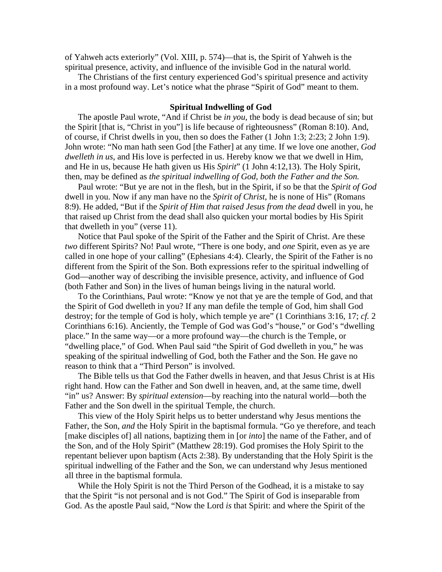of Yahweh acts exteriorly" (Vol. XIII, p. 574)—that is, the Spirit of Yahweh is the spiritual presence, activity, and influence of the invisible God in the natural world.

The Christians of the first century experienced God's spiritual presence and activity in a most profound way. Let's notice what the phrase "Spirit of God" meant to them.

#### **Spiritual Indwelling of God**

The apostle Paul wrote, "And if Christ be *in you*, the body is dead because of sin; but the Spirit [that is, "Christ in you"] is life because of righteousness" (Roman 8:10). And, of course, if Christ dwells in you, then so does the Father (1 John 1:3; 2:23; 2 John 1:9). John wrote: "No man hath seen God [the Father] at any time. If we love one another, *God dwelleth in us*, and His love is perfected in us. Hereby know we that we dwell in Him, and He in us, because He hath given us His *Spirit*" (1 John 4:12,13). The Holy Spirit, then, may be defined as *the spiritual indwelling of God, both the Father and the Son.*

Paul wrote: "But ye are not in the flesh, but in the Spirit, if so be that the *Spirit of God* dwell in you. Now if any man have no the *Spirit of Christ*, he is none of His" (Romans 8:9). He added, "But if the *Spirit of Him that raised Jesus from the dead* dwell in you, he that raised up Christ from the dead shall also quicken your mortal bodies by His Spirit that dwelleth in you" (verse 11).

Notice that Paul spoke of the Spirit of the Father and the Spirit of Christ. Are these *two* different Spirits? No! Paul wrote, "There is one body, and *one* Spirit, even as ye are called in one hope of your calling" (Ephesians 4:4). Clearly, the Spirit of the Father is no different from the Spirit of the Son. Both expressions refer to the spiritual indwelling of God—another way of describing the invisible presence, activity, and influence of God (both Father and Son) in the lives of human beings living in the natural world.

To the Corinthians, Paul wrote: "Know ye not that ye are the temple of God, and that the Spirit of God dwelleth in you? If any man defile the temple of God, him shall God destroy; for the temple of God is holy, which temple ye are" (1 Corinthians 3:16, 17; *cf.* 2 Corinthians 6:16). Anciently, the Temple of God was God's "house," or God's "dwelling place." In the same way—or a more profound way—the church is the Temple, or "dwelling place," of God. When Paul said "the Spirit of God dwelleth in you," he was speaking of the spiritual indwelling of God, both the Father and the Son. He gave no reason to think that a "Third Person" is involved.

The Bible tells us that God the Father dwells in heaven, and that Jesus Christ is at His right hand. How can the Father and Son dwell in heaven, and, at the same time, dwell "in" us? Answer: By *spiritual extension*—by reaching into the natural world—both the Father and the Son dwell in the spiritual Temple, the church.

This view of the Holy Spirit helps us to better understand why Jesus mentions the Father, the Son, *and* the Holy Spirit in the baptismal formula. "Go ye therefore, and teach [make disciples of] all nations, baptizing them in [or *into*] the name of the Father, and of the Son, and of the Holy Spirit" (Matthew 28:19). God promises the Holy Spirit to the repentant believer upon baptism (Acts 2:38). By understanding that the Holy Spirit is the spiritual indwelling of the Father and the Son, we can understand why Jesus mentioned all three in the baptismal formula.

While the Holy Spirit is not the Third Person of the Godhead, it is a mistake to say that the Spirit "is not personal and is not God." The Spirit of God is inseparable from God. As the apostle Paul said, "Now the Lord *is* that Spirit: and where the Spirit of the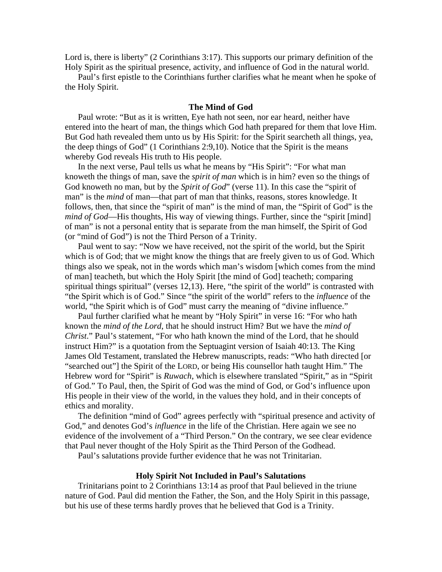Lord is, there is liberty" (2 Corinthians 3:17). This supports our primary definition of the Holy Spirit as the spiritual presence, activity, and influence of God in the natural world.

Paul's first epistle to the Corinthians further clarifies what he meant when he spoke of the Holy Spirit.

#### **The Mind of God**

Paul wrote: "But as it is written, Eye hath not seen, nor ear heard, neither have entered into the heart of man, the things which God hath prepared for them that love Him. But God hath revealed them unto us by His Spirit: for the Spirit searcheth all things, yea, the deep things of God" (1 Corinthians 2:9,10). Notice that the Spirit is the means whereby God reveals His truth to His people.

In the next verse, Paul tells us what he means by "His Spirit": "For what man knoweth the things of man, save the *spirit of man* which is in him? even so the things of God knoweth no man, but by the *Spirit of God*" (verse 11). In this case the "spirit of man" is the *mind* of man—that part of man that thinks, reasons, stores knowledge. It follows, then, that since the "spirit of man" is the mind of man, the "Spirit of God" is the *mind of God*—His thoughts, His way of viewing things. Further, since the "spirit [mind] of man" is not a personal entity that is separate from the man himself, the Spirit of God (or "mind of God") is not the Third Person of a Trinity.

Paul went to say: "Now we have received, not the spirit of the world, but the Spirit which is of God; that we might know the things that are freely given to us of God. Which things also we speak, not in the words which man's wisdom [which comes from the mind of man] teacheth, but which the Holy Spirit [the mind of God] teacheth; comparing spiritual things spiritual" (verses 12,13). Here, "the spirit of the world" is contrasted with "the Spirit which is of God." Since "the spirit of the world" refers to the *influence* of the world, "the Spirit which is of God" must carry the meaning of "divine influence."

Paul further clarified what he meant by "Holy Spirit" in verse 16: "For who hath known the *mind of the Lord*, that he should instruct Him? But we have the *mind of Christ*." Paul's statement, "For who hath known the mind of the Lord, that he should instruct Him?" is a quotation from the Septuagint version of Isaiah 40:13. The King James Old Testament, translated the Hebrew manuscripts, reads: "Who hath directed [or "searched out"] the Spirit of the LORD, or being His counsellor hath taught Him." The Hebrew word for "Spirit" is *Ruwach*, which is elsewhere translated "Spirit," as in "Spirit of God." To Paul, then, the Spirit of God was the mind of God, or God's influence upon His people in their view of the world, in the values they hold, and in their concepts of ethics and morality.

The definition "mind of God" agrees perfectly with "spiritual presence and activity of God," and denotes God's *influence* in the life of the Christian. Here again we see no evidence of the involvement of a "Third Person." On the contrary, we see clear evidence that Paul never thought of the Holy Spirit as the Third Person of the Godhead.

Paul's salutations provide further evidence that he was not Trinitarian.

#### **Holy Spirit Not Included in Paul's Salutations**

Trinitarians point to 2 Corinthians 13:14 as proof that Paul believed in the triune nature of God. Paul did mention the Father, the Son, and the Holy Spirit in this passage, but his use of these terms hardly proves that he believed that God is a Trinity.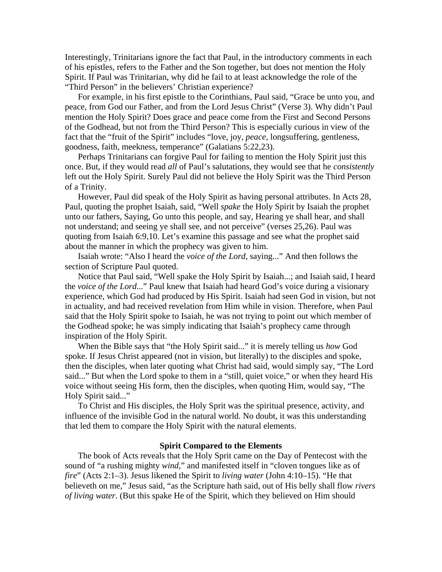Interestingly, Trinitarians ignore the fact that Paul, in the introductory comments in each of his epistles, refers to the Father and the Son together, but does not mention the Holy Spirit. If Paul was Trinitarian, why did he fail to at least acknowledge the role of the "Third Person" in the believers' Christian experience?

For example, in his first epistle to the Corinthians, Paul said, "Grace be unto you, and peace, from God our Father, and from the Lord Jesus Christ" (Verse 3). Why didn't Paul mention the Holy Spirit? Does grace and peace come from the First and Second Persons of the Godhead, but not from the Third Person? This is especially curious in view of the fact that the "fruit of the Spirit" includes "love, joy, *peace*, longsuffering, gentleness, goodness, faith, meekness, temperance" (Galatians 5:22,23).

Perhaps Trinitarians can forgive Paul for failing to mention the Holy Spirit just this once. But, if they would read *all* of Paul's salutations, they would see that he *consistently* left out the Holy Spirit. Surely Paul did not believe the Holy Spirit was the Third Person of a Trinity.

However, Paul did speak of the Holy Spirit as having personal attributes. In Acts 28, Paul, quoting the prophet Isaiah, said, "Well *spake* the Holy Spirit by Isaiah the prophet unto our fathers, Saying, Go unto this people, and say, Hearing ye shall hear, and shall not understand; and seeing ye shall see, and not perceive" (verses 25,26). Paul was quoting from Isaiah 6:9,10. Let's examine this passage and see what the prophet said about the manner in which the prophecy was given to him.

Isaiah wrote: "Also I heard the *voice of the Lord*, saying..." And then follows the section of Scripture Paul quoted.

Notice that Paul said, "Well spake the Holy Spirit by Isaiah...; and Isaiah said, I heard the *voice of the Lord*..." Paul knew that Isaiah had heard God's voice during a visionary experience, which God had produced by His Spirit. Isaiah had seen God in vision, but not in actuality, and had received revelation from Him while in vision. Therefore, when Paul said that the Holy Spirit spoke to Isaiah, he was not trying to point out which member of the Godhead spoke; he was simply indicating that Isaiah's prophecy came through inspiration of the Holy Spirit.

When the Bible says that "the Holy Spirit said..." it is merely telling us *how* God spoke. If Jesus Christ appeared (not in vision, but literally) to the disciples and spoke, then the disciples, when later quoting what Christ had said, would simply say, "The Lord said..." But when the Lord spoke to them in a "still, quiet voice," or when they heard His voice without seeing His form, then the disciples, when quoting Him, would say, "The Holy Spirit said..."

To Christ and His disciples, the Holy Sprit was the spiritual presence, activity, and influence of the invisible God in the natural world. No doubt, it was this understanding that led them to compare the Holy Spirit with the natural elements.

#### **Spirit Compared to the Elements**

The book of Acts reveals that the Holy Sprit came on the Day of Pentecost with the sound of "a rushing mighty *wind*," and manifested itself in "cloven tongues like as of *fire*" (Acts 2:1–3). Jesus likened the Spirit to *living water* (John 4:10–15). "He that believeth on me," Jesus said, "as the Scripture hath said, out of His belly shall flow *rivers of living water*. (But this spake He of the Spirit, which they believed on Him should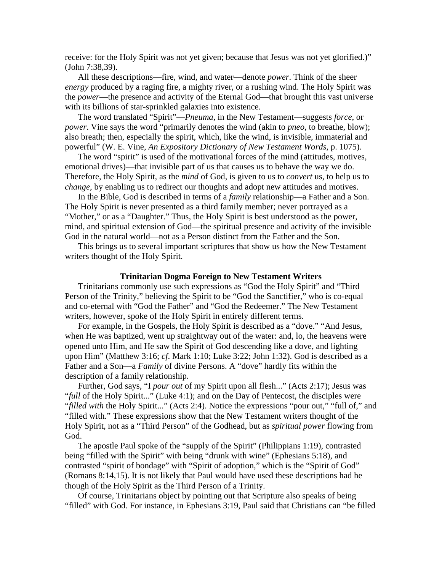receive: for the Holy Spirit was not yet given; because that Jesus was not yet glorified.)" (John 7:38,39).

All these descriptions—fire, wind, and water—denote *power*. Think of the sheer *energy* produced by a raging fire, a mighty river, or a rushing wind. The Holy Spirit was the *power*—the presence and activity of the Eternal God—that brought this vast universe with its billions of star-sprinkled galaxies into existence.

The word translated "Spirit"—*Pneuma*, in the New Testament—suggests *force*, or *power*. Vine says the word "primarily denotes the wind (akin to *pneo*, to breathe, blow); also breath; then, especially the spirit, which, like the wind, is invisible, immaterial and powerful" (W. E. Vine, *An Expository Dictionary of New Testament Words*, p. 1075).

The word "spirit" is used of the motivational forces of the mind (attitudes, motives, emotional drives)—that invisible part of us that causes us to behave the way we do. Therefore, the Holy Spirit, as the *mind* of God, is given to us to *convert* us, to help us to *change*, by enabling us to redirect our thoughts and adopt new attitudes and motives.

In the Bible, God is described in terms of a *family* relationship—a Father and a Son. The Holy Spirit is never presented as a third family member; never portrayed as a "Mother," or as a "Daughter." Thus, the Holy Spirit is best understood as the power, mind, and spiritual extension of God—the spiritual presence and activity of the invisible God in the natural world—not as a Person distinct from the Father and the Son.

This brings us to several important scriptures that show us how the New Testament writers thought of the Holy Spirit.

#### **Trinitarian Dogma Foreign to New Testament Writers**

Trinitarians commonly use such expressions as "God the Holy Spirit" and "Third Person of the Trinity," believing the Spirit to be "God the Sanctifier," who is co-equal and co-eternal with "God the Father" and "God the Redeemer." The New Testament writers, however, spoke of the Holy Spirit in entirely different terms.

For example, in the Gospels, the Holy Spirit is described as a "dove." "And Jesus, when He was baptized, went up straightway out of the water: and, lo, the heavens were opened unto Him, and He saw the Spirit of God descending like a dove, and lighting upon Him" (Matthew 3:16; *cf*. Mark 1:10; Luke 3:22; John 1:32). God is described as a Father and a Son—a *Family* of divine Persons. A "dove" hardly fits within the description of a family relationship.

Further, God says, "I *pour out* of my Spirit upon all flesh..." (Acts 2:17); Jesus was "*full* of the Holy Spirit..." (Luke 4:1); and on the Day of Pentecost, the disciples were "*filled with* the Holy Spirit..." (Acts 2:4). Notice the expressions "pour out," "full of," and "filled with." These expressions show that the New Testament writers thought of the Holy Spirit, not as a "Third Person" of the Godhead, but as *spiritual power* flowing from God.

The apostle Paul spoke of the "supply of the Spirit" (Philippians 1:19), contrasted being "filled with the Spirit" with being "drunk with wine" (Ephesians 5:18), and contrasted "spirit of bondage" with "Spirit of adoption," which is the "Spirit of God" (Romans 8:14,15). It is not likely that Paul would have used these descriptions had he though of the Holy Spirit as the Third Person of a Trinity.

Of course, Trinitarians object by pointing out that Scripture also speaks of being "filled" with God. For instance, in Ephesians 3:19, Paul said that Christians can "be filled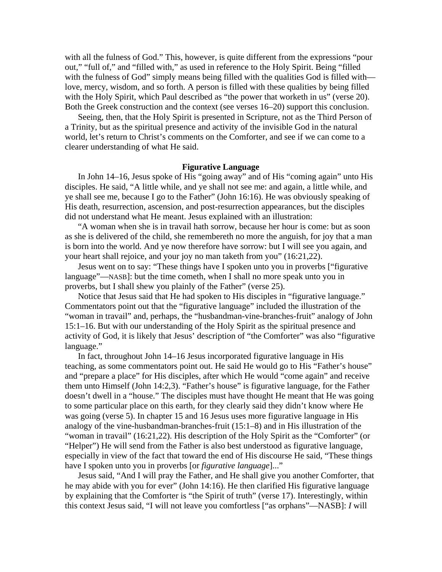with all the fulness of God." This, however, is quite different from the expressions "pour out," "full of," and "filled with," as used in reference to the Holy Spirit. Being "filled with the fulness of God" simply means being filled with the qualities God is filled with love, mercy, wisdom, and so forth. A person is filled with these qualities by being filled with the Holy Spirit, which Paul described as "the power that worketh in us" (verse 20). Both the Greek construction and the context (see verses 16–20) support this conclusion.

Seeing, then, that the Holy Spirit is presented in Scripture, not as the Third Person of a Trinity, but as the spiritual presence and activity of the invisible God in the natural world, let's return to Christ's comments on the Comforter, and see if we can come to a clearer understanding of what He said.

#### **Figurative Language**

In John 14–16, Jesus spoke of His "going away" and of His "coming again" unto His disciples. He said, "A little while, and ye shall not see me: and again, a little while, and ye shall see me, because I go to the Father" (John 16:16). He was obviously speaking of His death, resurrection, ascension, and post-resurrection appearances, but the disciples did not understand what He meant. Jesus explained with an illustration:

"A woman when she is in travail hath sorrow, because her hour is come: but as soon as she is delivered of the child, she remembereth no more the anguish, for joy that a man is born into the world. And ye now therefore have sorrow: but I will see you again, and your heart shall rejoice, and your joy no man taketh from you" (16:21,22).

Jesus went on to say: "These things have I spoken unto you in proverbs ["figurative language"—NASB]: but the time cometh, when I shall no more speak unto you in proverbs, but I shall shew you plainly of the Father" (verse 25).

Notice that Jesus said that He had spoken to His disciples in "figurative language." Commentators point out that the "figurative language" included the illustration of the "woman in travail" and, perhaps, the "husbandman-vine-branches-fruit" analogy of John 15:1–16. But with our understanding of the Holy Spirit as the spiritual presence and activity of God, it is likely that Jesus' description of "the Comforter" was also "figurative language."

In fact, throughout John 14–16 Jesus incorporated figurative language in His teaching, as some commentators point out. He said He would go to His "Father's house" and "prepare a place" for His disciples, after which He would "come again" and receive them unto Himself (John 14:2,3). "Father's house" is figurative language, for the Father doesn't dwell in a "house." The disciples must have thought He meant that He was going to some particular place on this earth, for they clearly said they didn't know where He was going (verse 5). In chapter 15 and 16 Jesus uses more figurative language in His analogy of the vine-husbandman-branches-fruit (15:1–8) and in His illustration of the "woman in travail" (16:21,22). His description of the Holy Spirit as the "Comforter" (or "Helper") He will send from the Father is also best understood as figurative language, especially in view of the fact that toward the end of His discourse He said, "These things have I spoken unto you in proverbs [or *figurative language*]..."

Jesus said, "And I will pray the Father, and He shall give you another Comforter, that he may abide with you for ever" (John 14:16). He then clarified His figurative language by explaining that the Comforter is "the Spirit of truth" (verse 17). Interestingly, within this context Jesus said, "I will not leave you comfortless ["as orphans"—NASB]: *I* will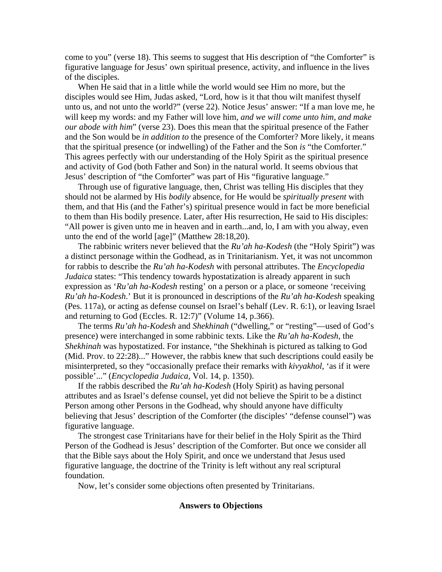come to you" (verse 18). This seems to suggest that His description of "the Comforter" is figurative language for Jesus' own spiritual presence, activity, and influence in the lives of the disciples.

When He said that in a little while the world would see Him no more, but the disciples would see Him, Judas asked, "Lord, how is it that thou wilt manifest thyself unto us, and not unto the world?" (verse 22). Notice Jesus' answer: "If a man love me, he will keep my words: and my Father will love him, *and we will come unto him, and make our abode with him*" (verse 23). Does this mean that the spiritual presence of the Father and the Son would be *in addition to* the presence of the Comforter? More likely, it means that the spiritual presence (or indwelling) of the Father and the Son *is* "the Comforter." This agrees perfectly with our understanding of the Holy Spirit as the spiritual presence and activity of God (both Father and Son) in the natural world. It seems obvious that Jesus' description of "the Comforter" was part of His "figurative language."

Through use of figurative language, then, Christ was telling His disciples that they should not be alarmed by His *bodily* absence, for He would be *spiritually present* with them, and that His (and the Father's) spiritual presence would in fact be more beneficial to them than His bodily presence. Later, after His resurrection, He said to His disciples: "All power is given unto me in heaven and in earth...and, lo, I am with you alway, even unto the end of the world [age]" (Matthew 28:18,20).

The rabbinic writers never believed that the *Ru'ah ha-Kodesh* (the "Holy Spirit") was a distinct personage within the Godhead, as in Trinitarianism. Yet, it was not uncommon for rabbis to describe the *Ru'ah ha-Kodesh* with personal attributes. The *Encyclopedia Judaica* states: "This tendency towards hypostatization is already apparent in such expression as '*Ru'ah ha-Kodesh* resting' on a person or a place, or someone 'receiving *Ru'ah ha-Kodesh*.' But it is pronounced in descriptions of the *Ru'ah ha-Kodesh* speaking (Pes. 117a), or acting as defense counsel on Israel's behalf (Lev. R. 6:1), or leaving Israel and returning to God (Eccles. R. 12:7)" (Volume 14, p.366).

The terms *Ru'ah ha-Kodesh* and *Shekhinah* ("dwelling," or "resting"—used of God's presence) were interchanged in some rabbinic texts. Like the *Ru'ah ha-Kodesh*, the *Shekhinah* was hypostatized. For instance, "the Shekhinah is pictured as talking to God (Mid. Prov. to 22:28)..." However, the rabbis knew that such descriptions could easily be misinterpreted, so they "occasionally preface their remarks with *kivyakhol*, 'as if it were possible'..." (*Encyclopedia Judaica*, Vol. 14, p. 1350).

If the rabbis described the *Ru'ah ha-Kodesh* (Holy Spirit) as having personal attributes and as Israel's defense counsel, yet did not believe the Spirit to be a distinct Person among other Persons in the Godhead, why should anyone have difficulty believing that Jesus' description of the Comforter (the disciples' "defense counsel") was figurative language.

The strongest case Trinitarians have for their belief in the Holy Spirit as the Third Person of the Godhead is Jesus' description of the Comforter. But once we consider all that the Bible says about the Holy Spirit, and once we understand that Jesus used figurative language, the doctrine of the Trinity is left without any real scriptural foundation.

Now, let's consider some objections often presented by Trinitarians.

### **Answers to Objections**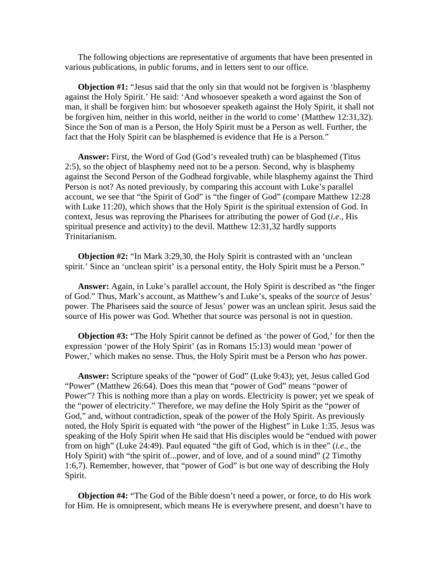The following objections are representative of arguments that have been presented in various publications, in public forums, and in letters sent to our office.

**Objection #1:** "Jesus said that the only sin that would not be forgiven is 'blasphemy against the Holy Spirit.' He said: 'And whosoever speaketh a word against the Son of man, it shall be forgiven him: but whosoever speaketh against the Holy Spirit, it shall not be forgiven him, neither in this world, neither in the world to come' (Matthew 12:31,32). Since the Son of man is a Person, the Holy Spirit must be a Person as well. Further, the fact that the Holy Spirit can be blasphemed is evidence that He is a Person."

**Answer:** First, the Word of God (God's revealed truth) can be blasphemed (Titus 2:5), so the object of blasphemy need not to be a person. Second, why is blasphemy against the Second Person of the Godhead forgivable, while blasphemy against the Third Person is not? As noted previously, by comparing this account with Luke's parallel account, we see that "the Spirit of God" is "the finger of God" (compare Matthew 12:28 with Luke 11:20), which shows that the Holy Spirit is the spiritual extension of God. In context, Jesus was reproving the Pharisees for attributing the power of God (*i.e*., His spiritual presence and activity) to the devil. Matthew 12:31,32 hardly supports Trinitarianism.

**Objection #2:** "In Mark 3:29,30, the Holy Spirit is contrasted with an 'unclean spirit.' Since an 'unclean spirit' is a personal entity, the Holy Spirit must be a Person."

**Answer:** Again, in Luke's parallel account, the Holy Spirit is described as "the finger of God." Thus, Mark's account, as Matthew's and Luke's, speaks of the *source* of Jesus' power. The Pharisees said the source of Jesus' power was an unclean spirit. Jesus said the source of His power was God. Whether that source was personal is not in question.

**Objection #3:** "The Holy Spirit cannot be defined as 'the power of God,' for then the expression 'power of the Holy Spirit' (as in Romans 15:13) would mean 'power of Power,' which makes no sense. Thus, the Holy Spirit must be a Person who *has* power.

**Answer:** Scripture speaks of the "power of God" (Luke 9:43); yet, Jesus called God "Power" (Matthew 26:64). Does this mean that "power of God" means "power of Power"? This is nothing more than a play on words. Electricity is power; yet we speak of the "power of electricity." Therefore, we may define the Holy Spirit as the "power of God," and, without contradiction, speak of the power of the Holy Spirit. As previously noted, the Holy Spirit is equated with "the power of the Highest" in Luke 1:35. Jesus was speaking of the Holy Spirit when He said that His disciples would be "endued with power from on high" (Luke 24:49). Paul equated "the gift of God, which is in thee" (*i.e*., the Holy Spirit) with "the spirit of...power, and of love, and of a sound mind" (2 Timothy 1:6,7). Remember, however, that "power of God" is but one way of describing the Holy Spirit.

**Objection #4:** "The God of the Bible doesn't need a power, or force, to do His work for Him. He is omnipresent, which means He is everywhere present, and doesn't have to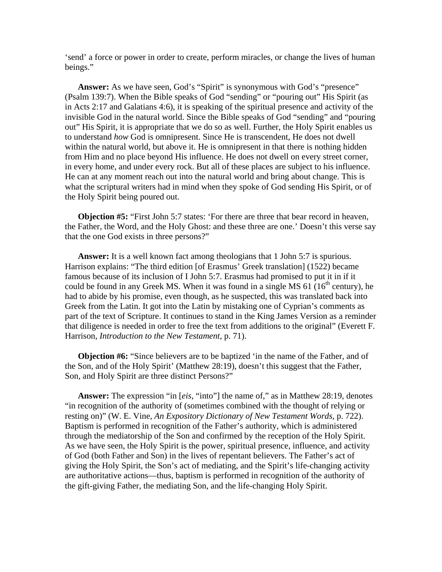'send' a force or power in order to create, perform miracles, or change the lives of human beings."

**Answer:** As we have seen, God's "Spirit" is synonymous with God's "presence" (Psalm 139:7). When the Bible speaks of God "sending" or "pouring out" His Spirit (as in Acts 2:17 and Galatians 4:6), it is speaking of the spiritual presence and activity of the invisible God in the natural world. Since the Bible speaks of God "sending" and "pouring out" His Spirit, it is appropriate that we do so as well. Further, the Holy Spirit enables us to understand *how* God is omnipresent. Since He is transcendent, He does not dwell within the natural world, but above it. He is omnipresent in that there is nothing hidden from Him and no place beyond His influence. He does not dwell on every street corner, in every home, and under every rock. But all of these places are subject to his influence. He can at any moment reach out into the natural world and bring about change. This is what the scriptural writers had in mind when they spoke of God sending His Spirit, or of the Holy Spirit being poured out.

**Objection #5:** "First John 5:7 states: 'For there are three that bear record in heaven, the Father, the Word, and the Holy Ghost: and these three are one.' Doesn't this verse say that the one God exists in three persons?"

**Answer:** It is a well known fact among theologians that 1 John 5:7 is spurious. Harrison explains: "The third edition [of Erasmus' Greek translation] (1522) became famous because of its inclusion of I John 5:7. Erasmus had promised to put it in if it could be found in any Greek MS. When it was found in a single MS  $61$  ( $16<sup>th</sup>$  century), he had to abide by his promise, even though, as he suspected, this was translated back into Greek from the Latin. It got into the Latin by mistaking one of Cyprian's comments as part of the text of Scripture. It continues to stand in the King James Version as a reminder that diligence is needed in order to free the text from additions to the original" (Everett F. Harrison, *Introduction to the New Testament*, p. 71).

**Objection #6:** "Since believers are to be baptized 'in the name of the Father, and of the Son, and of the Holy Spirit' (Matthew 28:19), doesn't this suggest that the Father, Son, and Holy Spirit are three distinct Persons?"

**Answer:** The expression "in [*eis*, "into"] the name of," as in Matthew 28:19, denotes "in recognition of the authority of (sometimes combined with the thought of relying or resting on)" (W. E. Vine, *An Expository Dictionary of New Testament Words*, p. 722). Baptism is performed in recognition of the Father's authority, which is administered through the mediatorship of the Son and confirmed by the reception of the Holy Spirit. As we have seen, the Holy Spirit is the power, spiritual presence, influence, and activity of God (both Father and Son) in the lives of repentant believers. The Father's act of giving the Holy Spirit, the Son's act of mediating, and the Spirit's life-changing activity are authoritative actions—thus, baptism is performed in recognition of the authority of the gift-giving Father, the mediating Son, and the life-changing Holy Spirit.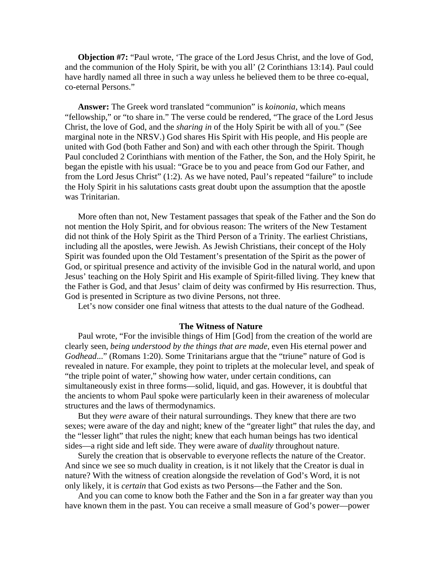**Objection #7:** "Paul wrote, 'The grace of the Lord Jesus Christ, and the love of God, and the communion of the Holy Spirit, be with you all' (2 Corinthians 13:14). Paul could have hardly named all three in such a way unless he believed them to be three co-equal, co-eternal Persons."

**Answer:** The Greek word translated "communion" is *koinonia*, which means "fellowship," or "to share in." The verse could be rendered, "The grace of the Lord Jesus Christ, the love of God, and the *sharing in* of the Holy Spirit be with all of you." (See marginal note in the NRSV.) God shares His Spirit with His people, and His people are united with God (both Father and Son) and with each other through the Spirit. Though Paul concluded 2 Corinthians with mention of the Father, the Son, and the Holy Spirit, he began the epistle with his usual: "Grace be to you and peace from God our Father, and from the Lord Jesus Christ" (1:2). As we have noted, Paul's repeated "failure" to include the Holy Spirit in his salutations casts great doubt upon the assumption that the apostle was Trinitarian.

More often than not, New Testament passages that speak of the Father and the Son do not mention the Holy Spirit, and for obvious reason: The writers of the New Testament did not think of the Holy Spirit as the Third Person of a Trinity. The earliest Christians, including all the apostles, were Jewish. As Jewish Christians, their concept of the Holy Spirit was founded upon the Old Testament's presentation of the Spirit as the power of God, or spiritual presence and activity of the invisible God in the natural world, and upon Jesus' teaching on the Holy Spirit and His example of Spirit-filled living. They knew that the Father is God, and that Jesus' claim of deity was confirmed by His resurrection. Thus, God is presented in Scripture as two divine Persons, not three.

Let's now consider one final witness that attests to the dual nature of the Godhead.

#### **The Witness of Nature**

Paul wrote, "For the invisible things of Him [God] from the creation of the world are clearly seen, *being understood by the things that are made*, even His eternal power and *Godhead*..." (Romans 1:20). Some Trinitarians argue that the "triune" nature of God is revealed in nature. For example, they point to triplets at the molecular level, and speak of "the triple point of water," showing how water, under certain conditions, can simultaneously exist in three forms—solid, liquid, and gas. However, it is doubtful that the ancients to whom Paul spoke were particularly keen in their awareness of molecular structures and the laws of thermodynamics.

But they *were* aware of their natural surroundings. They knew that there are two sexes; were aware of the day and night; knew of the "greater light" that rules the day, and the "lesser light" that rules the night; knew that each human beings has two identical sides—a right side and left side. They were aware of *duality* throughout nature.

Surely the creation that is observable to everyone reflects the nature of the Creator. And since we see so much duality in creation, is it not likely that the Creator is dual in nature? With the witness of creation alongside the revelation of God's Word, it is not only likely, it is *certain* that God exists as two Persons—the Father and the Son.

And you can come to know both the Father and the Son in a far greater way than you have known them in the past. You can receive a small measure of God's power—power